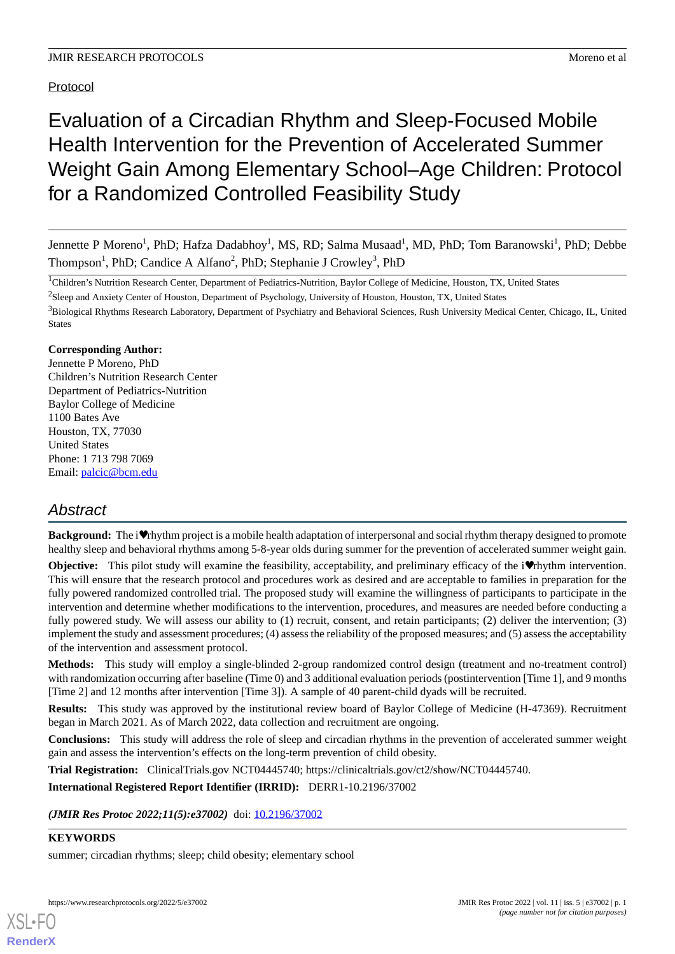Protocol

# Evaluation of a Circadian Rhythm and Sleep-Focused Mobile Health Intervention for the Prevention of Accelerated Summer Weight Gain Among Elementary School–Age Children: Protocol for a Randomized Controlled Feasibility Study

Jennette P Moreno<sup>1</sup>, PhD; Hafza Dadabhoy<sup>1</sup>, MS, RD; Salma Musaad<sup>1</sup>, MD, PhD; Tom Baranowski<sup>1</sup>, PhD; Debbe Thompson<sup>1</sup>, PhD; Candice A Alfano<sup>2</sup>, PhD; Stephanie J Crowley<sup>3</sup>, PhD

<sup>1</sup>Children's Nutrition Research Center, Department of Pediatrics-Nutrition, Baylor College of Medicine, Houston, TX, United States

 $2$ Sleep and Anxiety Center of Houston, Department of Psychology, University of Houston, Houston, TX, United States

<sup>3</sup>Biological Rhythms Research Laboratory, Department of Psychiatry and Behavioral Sciences, Rush University Medical Center, Chicago, IL, United States

# **Corresponding Author:**

Jennette P Moreno, PhD Children's Nutrition Research Center Department of Pediatrics-Nutrition Baylor College of Medicine 1100 Bates Ave Houston, TX, 77030 United States Phone: 1 713 798 7069 Email: [palcic@bcm.edu](mailto:palcic@bcm.edu)

# *Abstract*

**Background:** The i♥rhythm project is a mobile health adaptation of interpersonal and social rhythm therapy designed to promote healthy sleep and behavioral rhythms among 5-8-year olds during summer for the prevention of accelerated summer weight gain.

**Objective:** This pilot study will examine the feasibility, acceptability, and preliminary efficacy of the i♥rhythm intervention. This will ensure that the research protocol and procedures work as desired and are acceptable to families in preparation for the fully powered randomized controlled trial. The proposed study will examine the willingness of participants to participate in the intervention and determine whether modifications to the intervention, procedures, and measures are needed before conducting a fully powered study. We will assess our ability to (1) recruit, consent, and retain participants; (2) deliver the intervention; (3) implement the study and assessment procedures; (4) assess the reliability of the proposed measures; and (5) assess the acceptability of the intervention and assessment protocol.

**Methods:** This study will employ a single-blinded 2-group randomized control design (treatment and no-treatment control) with randomization occurring after baseline (Time 0) and 3 additional evaluation periods (postintervention [Time 1], and 9 months [Time 2] and 12 months after intervention [Time 3]). A sample of 40 parent-child dyads will be recruited.

**Results:** This study was approved by the institutional review board of Baylor College of Medicine (H-47369). Recruitment began in March 2021. As of March 2022, data collection and recruitment are ongoing.

**Conclusions:** This study will address the role of sleep and circadian rhythms in the prevention of accelerated summer weight gain and assess the intervention's effects on the long-term prevention of child obesity.

**Trial Registration:** ClinicalTrials.gov NCT04445740; https://clinicaltrials.gov/ct2/show/NCT04445740.

**International Registered Report Identifier (IRRID):** DERR1-10.2196/37002

*(JMIR Res Protoc 2022;11(5):e37002)* doi: [10.2196/37002](http://dx.doi.org/10.2196/37002)

# **KEYWORDS**

[XSL](http://www.w3.org/Style/XSL)•FO **[RenderX](http://www.renderx.com/)**

summer; circadian rhythms; sleep; child obesity; elementary school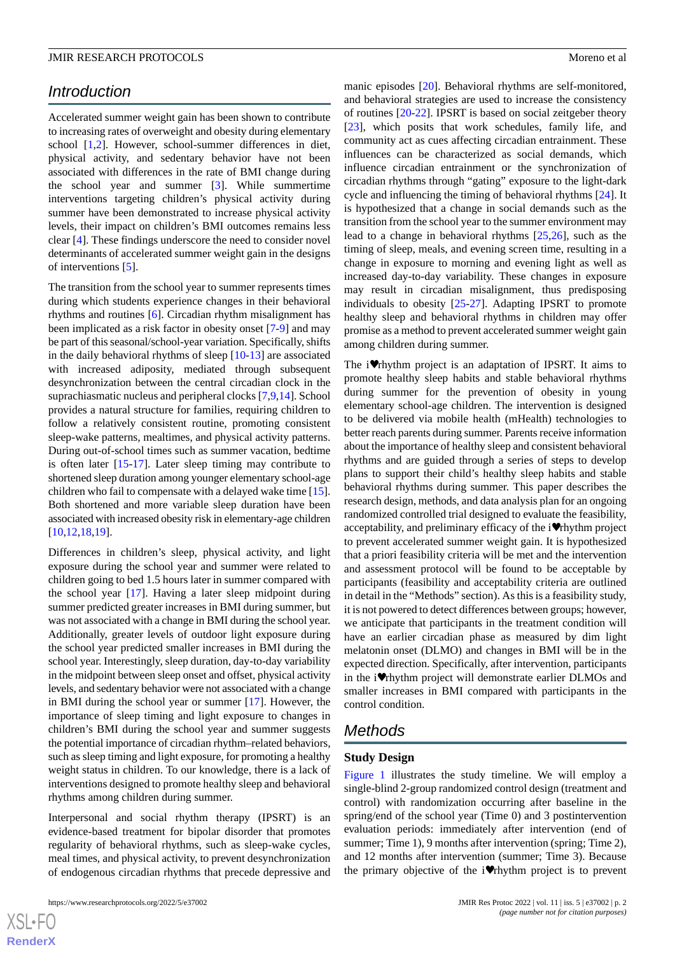# *Introduction*

Accelerated summer weight gain has been shown to contribute to increasing rates of overweight and obesity during elementary school [\[1](#page-9-0),[2\]](#page-9-1). However, school-summer differences in diet, physical activity, and sedentary behavior have not been associated with differences in the rate of BMI change during the school year and summer [[3\]](#page-10-0). While summertime interventions targeting children's physical activity during summer have been demonstrated to increase physical activity levels, their impact on children's BMI outcomes remains less clear [[4\]](#page-10-1). These findings underscore the need to consider novel determinants of accelerated summer weight gain in the designs of interventions [\[5](#page-10-2)].

The transition from the school year to summer represents times during which students experience changes in their behavioral rhythms and routines [[6\]](#page-10-3). Circadian rhythm misalignment has been implicated as a risk factor in obesity onset [\[7](#page-10-4)-[9\]](#page-10-5) and may be part of this seasonal/school-year variation. Specifically, shifts in the daily behavioral rhythms of sleep [[10-](#page-10-6)[13](#page-10-7)] are associated with increased adiposity, mediated through subsequent desynchronization between the central circadian clock in the suprachiasmatic nucleus and peripheral clocks [\[7](#page-10-4),[9,](#page-10-5)[14](#page-10-8)]. School provides a natural structure for families, requiring children to follow a relatively consistent routine, promoting consistent sleep-wake patterns, mealtimes, and physical activity patterns. During out-of-school times such as summer vacation, bedtime is often later [[15-](#page-10-9)[17](#page-10-10)]. Later sleep timing may contribute to shortened sleep duration among younger elementary school-age children who fail to compensate with a delayed wake time [[15\]](#page-10-9). Both shortened and more variable sleep duration have been associated with increased obesity risk in elementary-age children [[10](#page-10-6)[,12](#page-10-11),[18](#page-10-12)[,19](#page-10-13)].

Differences in children's sleep, physical activity, and light exposure during the school year and summer were related to children going to bed 1.5 hours later in summer compared with the school year [[17\]](#page-10-10). Having a later sleep midpoint during summer predicted greater increases in BMI during summer, but was not associated with a change in BMI during the school year. Additionally, greater levels of outdoor light exposure during the school year predicted smaller increases in BMI during the school year. Interestingly, sleep duration, day-to-day variability in the midpoint between sleep onset and offset, physical activity levels, and sedentary behavior were not associated with a change in BMI during the school year or summer [\[17](#page-10-10)]. However, the importance of sleep timing and light exposure to changes in children's BMI during the school year and summer suggests the potential importance of circadian rhythm–related behaviors, such as sleep timing and light exposure, for promoting a healthy weight status in children. To our knowledge, there is a lack of interventions designed to promote healthy sleep and behavioral rhythms among children during summer.

Interpersonal and social rhythm therapy (IPSRT) is an evidence-based treatment for bipolar disorder that promotes regularity of behavioral rhythms, such as sleep-wake cycles, meal times, and physical activity, to prevent desynchronization of endogenous circadian rhythms that precede depressive and

 $XS$  • FC **[RenderX](http://www.renderx.com/)** manic episodes [[20\]](#page-10-14). Behavioral rhythms are self-monitored, and behavioral strategies are used to increase the consistency of routines [[20](#page-10-14)[-22](#page-10-15)]. IPSRT is based on social zeitgeber theory [[23\]](#page-10-16), which posits that work schedules, family life, and community act as cues affecting circadian entrainment. These influences can be characterized as social demands, which influence circadian entrainment or the synchronization of circadian rhythms through "gating" exposure to the light-dark cycle and influencing the timing of behavioral rhythms [\[24](#page-10-17)]. It is hypothesized that a change in social demands such as the transition from the school year to the summer environment may lead to a change in behavioral rhythms [[25](#page-10-18)[,26](#page-10-19)], such as the timing of sleep, meals, and evening screen time, resulting in a change in exposure to morning and evening light as well as increased day-to-day variability. These changes in exposure may result in circadian misalignment, thus predisposing individuals to obesity [\[25](#page-10-18)[-27](#page-10-20)]. Adapting IPSRT to promote healthy sleep and behavioral rhythms in children may offer promise as a method to prevent accelerated summer weight gain among children during summer.

The i♥rhythm project is an adaptation of IPSRT. It aims to promote healthy sleep habits and stable behavioral rhythms during summer for the prevention of obesity in young elementary school-age children. The intervention is designed to be delivered via mobile health (mHealth) technologies to better reach parents during summer. Parents receive information about the importance of healthy sleep and consistent behavioral rhythms and are guided through a series of steps to develop plans to support their child's healthy sleep habits and stable behavioral rhythms during summer. This paper describes the research design, methods, and data analysis plan for an ongoing randomized controlled trial designed to evaluate the feasibility, acceptability, and preliminary efficacy of the i♥rhythm project to prevent accelerated summer weight gain. It is hypothesized that a priori feasibility criteria will be met and the intervention and assessment protocol will be found to be acceptable by participants (feasibility and acceptability criteria are outlined in detail in the "Methods" section). As this is a feasibility study, it is not powered to detect differences between groups; however, we anticipate that participants in the treatment condition will have an earlier circadian phase as measured by dim light melatonin onset (DLMO) and changes in BMI will be in the expected direction. Specifically, after intervention, participants in the i♥rhythm project will demonstrate earlier DLMOs and smaller increases in BMI compared with participants in the control condition.

# *Methods*

# **Study Design**

[Figure 1](#page-2-0) illustrates the study timeline. We will employ a single-blind 2-group randomized control design (treatment and control) with randomization occurring after baseline in the spring/end of the school year (Time 0) and 3 postintervention evaluation periods: immediately after intervention (end of summer; Time 1), 9 months after intervention (spring; Time 2), and 12 months after intervention (summer; Time 3). Because the primary objective of the i♥rhythm project is to prevent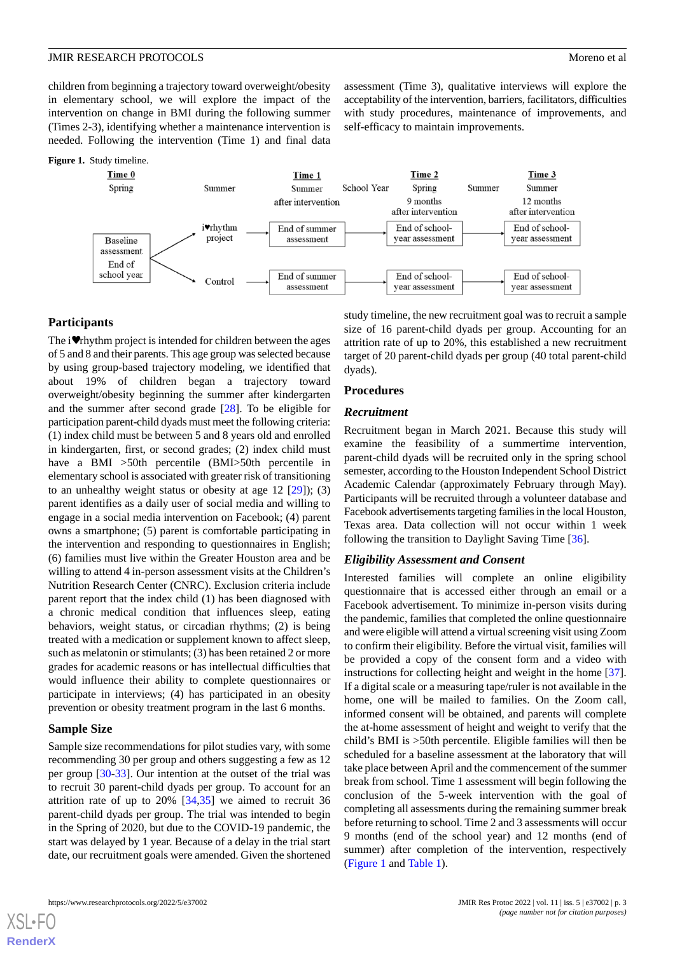children from beginning a trajectory toward overweight/obesity in elementary school, we will explore the impact of the intervention on change in BMI during the following summer (Times 2-3), identifying whether a maintenance intervention is needed. Following the intervention (Time 1) and final data

#### <span id="page-2-0"></span>**Figure 1.** Study timeline.



#### **Participants**

The i♥rhythm project is intended for children between the ages of 5 and 8 and their parents. This age group was selected because by using group-based trajectory modeling, we identified that about 19% of children began a trajectory toward overweight/obesity beginning the summer after kindergarten and the summer after second grade [[28\]](#page-11-0). To be eligible for participation parent-child dyads must meet the following criteria: (1) index child must be between 5 and 8 years old and enrolled in kindergarten, first, or second grades; (2) index child must have a BMI >50th percentile (BMI>50th percentile in elementary school is associated with greater risk of transitioning to an unhealthy weight status or obesity at age  $12$   $[29]$  $[29]$ ;  $(3)$ parent identifies as a daily user of social media and willing to engage in a social media intervention on Facebook; (4) parent owns a smartphone; (5) parent is comfortable participating in the intervention and responding to questionnaires in English; (6) families must live within the Greater Houston area and be willing to attend 4 in-person assessment visits at the Children's Nutrition Research Center (CNRC). Exclusion criteria include parent report that the index child (1) has been diagnosed with a chronic medical condition that influences sleep, eating behaviors, weight status, or circadian rhythms; (2) is being treated with a medication or supplement known to affect sleep, such as melatonin or stimulants; (3) has been retained 2 or more grades for academic reasons or has intellectual difficulties that would influence their ability to complete questionnaires or participate in interviews; (4) has participated in an obesity prevention or obesity treatment program in the last 6 months.

#### **Sample Size**

[XSL](http://www.w3.org/Style/XSL)•FO **[RenderX](http://www.renderx.com/)**

Sample size recommendations for pilot studies vary, with some recommending 30 per group and others suggesting a few as 12 per group [\[30](#page-11-2)-[33\]](#page-11-3). Our intention at the outset of the trial was to recruit 30 parent-child dyads per group. To account for an attrition rate of up to 20% [[34,](#page-11-4)[35](#page-11-5)] we aimed to recruit 36 parent-child dyads per group. The trial was intended to begin in the Spring of 2020, but due to the COVID-19 pandemic, the start was delayed by 1 year. Because of a delay in the trial start date, our recruitment goals were amended. Given the shortened

study timeline, the new recruitment goal was to recruit a sample size of 16 parent-child dyads per group. Accounting for an attrition rate of up to 20%, this established a new recruitment target of 20 parent-child dyads per group (40 total parent-child dyads).

assessment (Time 3), qualitative interviews will explore the acceptability of the intervention, barriers, facilitators, difficulties with study procedures, maintenance of improvements, and

self-efficacy to maintain improvements.

# **Procedures**

#### *Recruitment*

Recruitment began in March 2021. Because this study will examine the feasibility of a summertime intervention, parent-child dyads will be recruited only in the spring school semester, according to the Houston Independent School District Academic Calendar (approximately February through May). Participants will be recruited through a volunteer database and Facebook advertisements targeting families in the local Houston, Texas area. Data collection will not occur within 1 week following the transition to Daylight Saving Time [\[36](#page-11-6)].

#### *Eligibility Assessment and Consent*

Interested families will complete an online eligibility questionnaire that is accessed either through an email or a Facebook advertisement. To minimize in-person visits during the pandemic, families that completed the online questionnaire and were eligible will attend a virtual screening visit using Zoom to confirm their eligibility. Before the virtual visit, families will be provided a copy of the consent form and a video with instructions for collecting height and weight in the home [[37\]](#page-11-7). If a digital scale or a measuring tape/ruler is not available in the home, one will be mailed to families. On the Zoom call, informed consent will be obtained, and parents will complete the at-home assessment of height and weight to verify that the child's BMI is >50th percentile. Eligible families will then be scheduled for a baseline assessment at the laboratory that will take place between April and the commencement of the summer break from school. Time 1 assessment will begin following the conclusion of the 5-week intervention with the goal of completing all assessments during the remaining summer break before returning to school. Time 2 and 3 assessments will occur 9 months (end of the school year) and 12 months (end of summer) after completion of the intervention, respectively ([Figure 1](#page-2-0) and [Table 1\)](#page-3-0).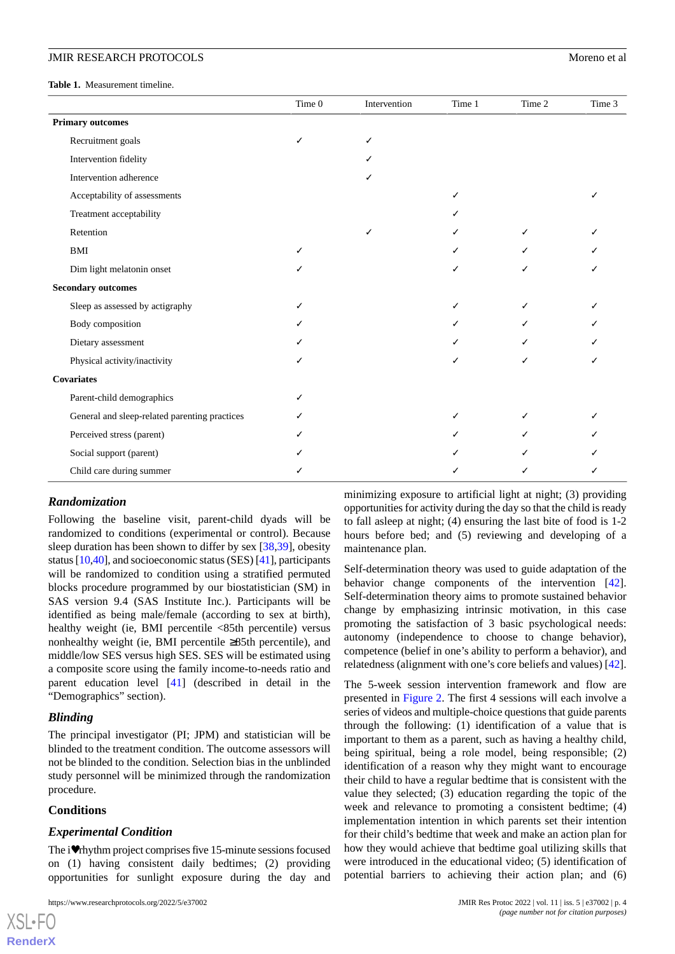<span id="page-3-0"></span>**Table 1.** Measurement timeline.

|                                               | Time 0 | Intervention | Time 1 | Time 2 | Time 3 |
|-----------------------------------------------|--------|--------------|--------|--------|--------|
| <b>Primary outcomes</b>                       |        |              |        |        |        |
| Recruitment goals                             | ✓      |              |        |        |        |
| Intervention fidelity                         |        |              |        |        |        |
| Intervention adherence                        |        |              |        |        |        |
| Acceptability of assessments                  |        |              | ✓      |        |        |
| Treatment acceptability                       |        |              |        |        |        |
| Retention                                     |        | ✓            | ✓      | ✓      |        |
| BMI                                           |        |              | ✓      |        |        |
| Dim light melatonin onset                     |        |              | ✓      |        |        |
| <b>Secondary outcomes</b>                     |        |              |        |        |        |
| Sleep as assessed by actigraphy               |        |              | ✓      |        |        |
| Body composition                              |        |              | ✓      |        |        |
| Dietary assessment                            |        |              | J      |        |        |
| Physical activity/inactivity                  |        |              | ✓      |        |        |
| <b>Covariates</b>                             |        |              |        |        |        |
| Parent-child demographics                     |        |              |        |        |        |
| General and sleep-related parenting practices |        |              | ✓      |        |        |
| Perceived stress (parent)                     |        |              | J      |        |        |
| Social support (parent)                       |        |              |        |        |        |
| Child care during summer                      |        |              |        |        |        |

#### *Randomization*

Following the baseline visit, parent-child dyads will be randomized to conditions (experimental or control). Because sleep duration has been shown to differ by sex [\[38](#page-11-8),[39\]](#page-11-9), obesity status [[10,](#page-10-6)[40\]](#page-11-10), and socioeconomic status (SES) [[41](#page-11-11)], participants will be randomized to condition using a stratified permuted blocks procedure programmed by our biostatistician (SM) in SAS version 9.4 (SAS Institute Inc.). Participants will be identified as being male/female (according to sex at birth), healthy weight (ie, BMI percentile <85th percentile) versus nonhealthy weight (ie, BMI percentile  $\geq 85$ th percentile), and middle/low SES versus high SES. SES will be estimated using a composite score using the family income-to-needs ratio and parent education level [\[41](#page-11-11)] (described in detail in the "Demographics" section).

# *Blinding*

The principal investigator (PI; JPM) and statistician will be blinded to the treatment condition. The outcome assessors will not be blinded to the condition. Selection bias in the unblinded study personnel will be minimized through the randomization procedure.

#### **Conditions**

[XSL](http://www.w3.org/Style/XSL)•FO **[RenderX](http://www.renderx.com/)**

#### *Experimental Condition*

The i♥rhythm project comprises five 15-minute sessions focused on (1) having consistent daily bedtimes; (2) providing opportunities for sunlight exposure during the day and

minimizing exposure to artificial light at night; (3) providing opportunities for activity during the day so that the child is ready to fall asleep at night; (4) ensuring the last bite of food is 1-2 hours before bed; and (5) reviewing and developing of a maintenance plan.

Self-determination theory was used to guide adaptation of the behavior change components of the intervention [[42\]](#page-11-12). Self-determination theory aims to promote sustained behavior change by emphasizing intrinsic motivation, in this case promoting the satisfaction of 3 basic psychological needs: autonomy (independence to choose to change behavior), competence (belief in one's ability to perform a behavior), and relatedness (alignment with one's core beliefs and values) [[42\]](#page-11-12).

The 5-week session intervention framework and flow are presented in [Figure 2.](#page-4-0) The first 4 sessions will each involve a series of videos and multiple-choice questions that guide parents through the following: (1) identification of a value that is important to them as a parent, such as having a healthy child, being spiritual, being a role model, being responsible; (2) identification of a reason why they might want to encourage their child to have a regular bedtime that is consistent with the value they selected; (3) education regarding the topic of the week and relevance to promoting a consistent bedtime; (4) implementation intention in which parents set their intention for their child's bedtime that week and make an action plan for how they would achieve that bedtime goal utilizing skills that were introduced in the educational video; (5) identification of potential barriers to achieving their action plan; and (6)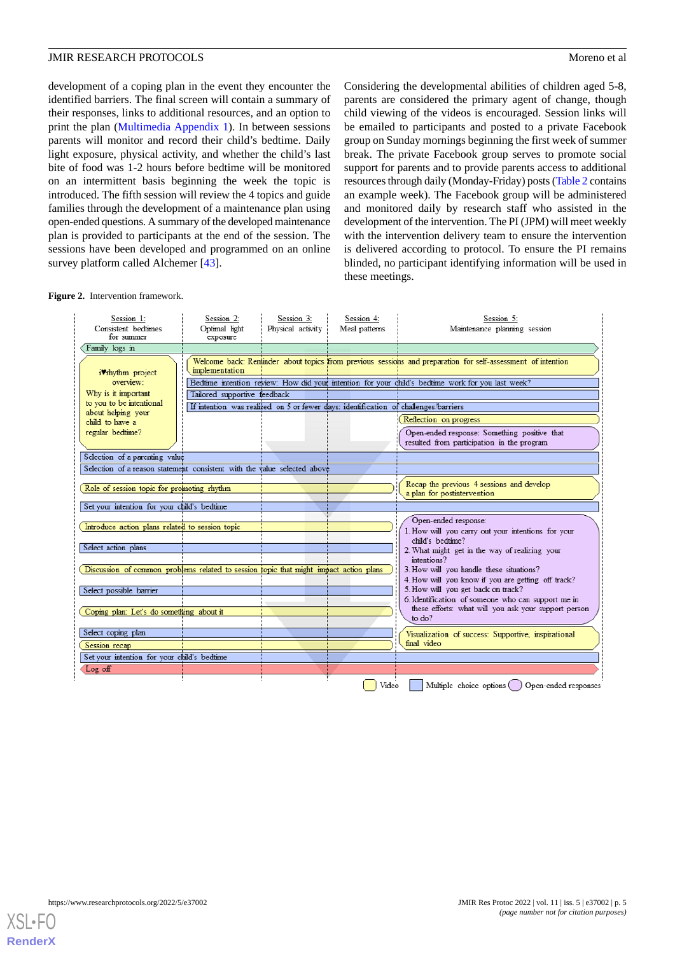development of a coping plan in the event they encounter the identified barriers. The final screen will contain a summary of their responses, links to additional resources, and an option to print the plan ([Multimedia Appendix 1\)](#page-9-2). In between sessions parents will monitor and record their child's bedtime. Daily light exposure, physical activity, and whether the child's last bite of food was 1-2 hours before bedtime will be monitored on an intermittent basis beginning the week the topic is introduced. The fifth session will review the 4 topics and guide families through the development of a maintenance plan using open-ended questions. A summary of the developed maintenance plan is provided to participants at the end of the session. The sessions have been developed and programmed on an online survey platform called Alchemer [[43\]](#page-11-13).

Considering the developmental abilities of children aged 5-8, parents are considered the primary agent of change, though child viewing of the videos is encouraged. Session links will be emailed to participants and posted to a private Facebook group on Sunday mornings beginning the first week of summer break. The private Facebook group serves to promote social support for parents and to provide parents access to additional resources through daily (Monday-Friday) posts [\(Table 2](#page-5-0) contains an example week). The Facebook group will be administered and monitored daily by research staff who assisted in the development of the intervention. The PI (JPM) will meet weekly with the intervention delivery team to ensure the intervention is delivered according to protocol. To ensure the PI remains blinded, no participant identifying information will be used in these meetings.

#### <span id="page-4-0"></span>**Figure 2.** Intervention framework.



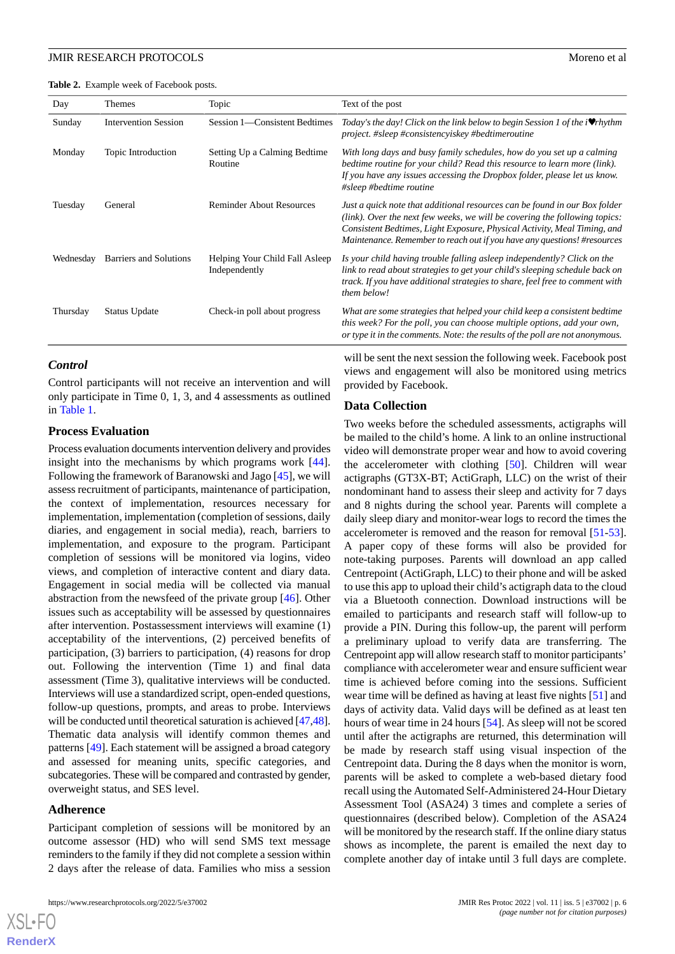#### **JMIR RESEARCH PROTOCOLS** Moreno et al.

<span id="page-5-0"></span>**Table 2.** Example week of Facebook posts.

| Day       | Themes                      | Topic                                           | Text of the post                                                                                                                                                                                                                                                                                                    |  |
|-----------|-----------------------------|-------------------------------------------------|---------------------------------------------------------------------------------------------------------------------------------------------------------------------------------------------------------------------------------------------------------------------------------------------------------------------|--|
| Sunday    | <b>Intervention Session</b> | Session 1—Consistent Bedtimes                   | Today's the day! Click on the link below to begin Session 1 of the $\mathbf i \mathbf v$ rhythm<br>project. #sleep #consistencyiskey #bedtimeroutine                                                                                                                                                                |  |
| Monday    | Topic Introduction          | Setting Up a Calming Bedtime<br>Routine         | With long days and busy family schedules, how do you set up a calming<br>bedtime routine for your child? Read this resource to learn more (link).<br>If you have any issues accessing the Dropbox folder, please let us know.<br>#sleep #bedtime routine                                                            |  |
| Tuesday   | General                     | <b>Reminder About Resources</b>                 | Just a quick note that additional resources can be found in our Box folder<br>$(iink)$ . Over the next few weeks, we will be covering the following topics:<br>Consistent Bedtimes, Light Exposure, Physical Activity, Meal Timing, and<br>Maintenance. Remember to reach out if you have any questions! #resources |  |
| Wednesday | Barriers and Solutions      | Helping Your Child Fall Asleep<br>Independently | Is your child having trouble falling asleep independently? Click on the<br>link to read about strategies to get your child's sleeping schedule back on<br>track. If you have additional strategies to share, feel free to comment with<br>them below!                                                               |  |
| Thursday  | Status Update               | Check-in poll about progress                    | What are some strategies that helped your child keep a consistent bedtime<br>this week? For the poll, you can choose multiple options, add your own,<br>or type it in the comments. Note: the results of the poll are not anonymous.                                                                                |  |

# *Control*

Control participants will not receive an intervention and will only participate in Time 0, 1, 3, and 4 assessments as outlined in [Table 1](#page-3-0).

#### **Process Evaluation**

Process evaluation documents intervention delivery and provides insight into the mechanisms by which programs work [[44\]](#page-11-14). Following the framework of Baranowski and Jago [[45\]](#page-11-15), we will assess recruitment of participants, maintenance of participation, the context of implementation, resources necessary for implementation, implementation (completion of sessions, daily diaries, and engagement in social media), reach, barriers to implementation, and exposure to the program. Participant completion of sessions will be monitored via logins, video views, and completion of interactive content and diary data. Engagement in social media will be collected via manual abstraction from the newsfeed of the private group [\[46](#page-11-16)]. Other issues such as acceptability will be assessed by questionnaires after intervention. Postassessment interviews will examine (1) acceptability of the interventions, (2) perceived benefits of participation, (3) barriers to participation, (4) reasons for drop out. Following the intervention (Time 1) and final data assessment (Time 3), qualitative interviews will be conducted. Interviews will use a standardized script, open-ended questions, follow-up questions, prompts, and areas to probe. Interviews will be conducted until theoretical saturation is achieved [\[47,](#page-11-17)[48\]](#page-11-18). Thematic data analysis will identify common themes and patterns [[49\]](#page-11-19). Each statement will be assigned a broad category and assessed for meaning units, specific categories, and subcategories. These will be compared and contrasted by gender, overweight status, and SES level.

#### **Adherence**

[XSL](http://www.w3.org/Style/XSL)•FO **[RenderX](http://www.renderx.com/)**

Participant completion of sessions will be monitored by an outcome assessor (HD) who will send SMS text message reminders to the family if they did not complete a session within 2 days after the release of data. Families who miss a session will be sent the next session the following week. Facebook post views and engagement will also be monitored using metrics provided by Facebook.

#### **Data Collection**

Two weeks before the scheduled assessments, actigraphs will be mailed to the child's home. A link to an online instructional video will demonstrate proper wear and how to avoid covering the accelerometer with clothing [\[50](#page-11-20)]. Children will wear actigraphs (GT3X-BT; ActiGraph, LLC) on the wrist of their nondominant hand to assess their sleep and activity for 7 days and 8 nights during the school year. Parents will complete a daily sleep diary and monitor-wear logs to record the times the accelerometer is removed and the reason for removal [[51-](#page-11-21)[53\]](#page-11-22). A paper copy of these forms will also be provided for note-taking purposes. Parents will download an app called Centrepoint (ActiGraph, LLC) to their phone and will be asked to use this app to upload their child's actigraph data to the cloud via a Bluetooth connection. Download instructions will be emailed to participants and research staff will follow-up to provide a PIN. During this follow-up, the parent will perform a preliminary upload to verify data are transferring. The Centrepoint app will allow research staff to monitor participants' compliance with accelerometer wear and ensure sufficient wear time is achieved before coming into the sessions. Sufficient wear time will be defined as having at least five nights [[51\]](#page-11-21) and days of activity data. Valid days will be defined as at least ten hours of wear time in 24 hours [\[54](#page-12-0)]. As sleep will not be scored until after the actigraphs are returned, this determination will be made by research staff using visual inspection of the Centrepoint data. During the 8 days when the monitor is worn, parents will be asked to complete a web-based dietary food recall using the Automated Self-Administered 24-Hour Dietary Assessment Tool (ASA24) 3 times and complete a series of questionnaires (described below). Completion of the ASA24 will be monitored by the research staff. If the online diary status shows as incomplete, the parent is emailed the next day to complete another day of intake until 3 full days are complete.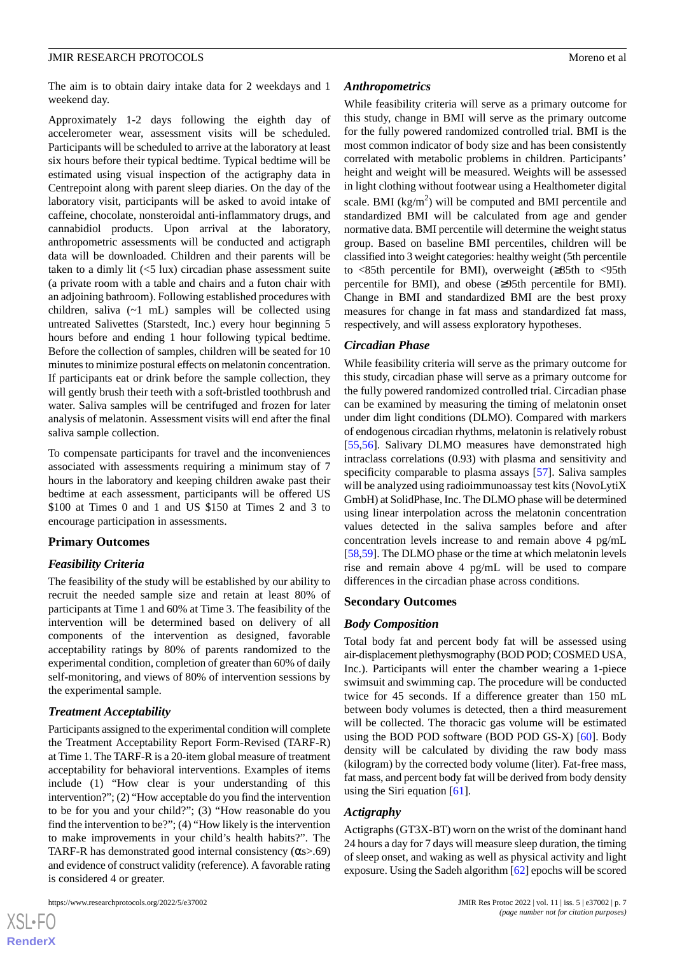The aim is to obtain dairy intake data for 2 weekdays and 1 weekend day.

Approximately 1-2 days following the eighth day of accelerometer wear, assessment visits will be scheduled. Participants will be scheduled to arrive at the laboratory at least six hours before their typical bedtime. Typical bedtime will be estimated using visual inspection of the actigraphy data in Centrepoint along with parent sleep diaries. On the day of the laboratory visit, participants will be asked to avoid intake of caffeine, chocolate, nonsteroidal anti-inflammatory drugs, and cannabidiol products. Upon arrival at the laboratory, anthropometric assessments will be conducted and actigraph data will be downloaded. Children and their parents will be taken to a dimly lit  $(<5 \text{ lux})$  circadian phase assessment suite (a private room with a table and chairs and a futon chair with an adjoining bathroom). Following established procedures with children, saliva  $(\sim 1 \text{ mL})$  samples will be collected using untreated Salivettes (Starstedt, Inc.) every hour beginning 5 hours before and ending 1 hour following typical bedtime. Before the collection of samples, children will be seated for 10 minutes to minimize postural effects on melatonin concentration. If participants eat or drink before the sample collection, they will gently brush their teeth with a soft-bristled toothbrush and water. Saliva samples will be centrifuged and frozen for later analysis of melatonin. Assessment visits will end after the final saliva sample collection.

To compensate participants for travel and the inconveniences associated with assessments requiring a minimum stay of 7 hours in the laboratory and keeping children awake past their bedtime at each assessment, participants will be offered US \$100 at Times 0 and 1 and US \$150 at Times 2 and 3 to encourage participation in assessments.

# **Primary Outcomes**

# *Feasibility Criteria*

The feasibility of the study will be established by our ability to recruit the needed sample size and retain at least 80% of participants at Time 1 and 60% at Time 3. The feasibility of the intervention will be determined based on delivery of all components of the intervention as designed, favorable acceptability ratings by 80% of parents randomized to the experimental condition, completion of greater than 60% of daily self-monitoring, and views of 80% of intervention sessions by the experimental sample.

# *Treatment Acceptability*

Participants assigned to the experimental condition will complete the Treatment Acceptability Report Form-Revised (TARF-R) at Time 1. The TARF-R is a 20-item global measure of treatment acceptability for behavioral interventions. Examples of items include (1) "How clear is your understanding of this intervention?"; (2) "How acceptable do you find the intervention to be for you and your child?"; (3) "How reasonable do you find the intervention to be?"; (4) "How likely is the intervention to make improvements in your child's health habits?". The TARF-R has demonstrated good internal consistency ( $\alpha$ s>.69) and evidence of construct validity (reference). A favorable rating is considered 4 or greater.

# *Anthropometrics*

While feasibility criteria will serve as a primary outcome for this study, change in BMI will serve as the primary outcome for the fully powered randomized controlled trial. BMI is the most common indicator of body size and has been consistently correlated with metabolic problems in children. Participants' height and weight will be measured. Weights will be assessed in light clothing without footwear using a Healthometer digital scale. BMI  $(kg/m^2)$  will be computed and BMI percentile and standardized BMI will be calculated from age and gender normative data. BMI percentile will determine the weight status group. Based on baseline BMI percentiles, children will be classified into 3 weight categories: healthy weight (5th percentile to <85th percentile for BMI), overweight (≥85th to <95th percentile for BMI), and obese (≥95th percentile for BMI). Change in BMI and standardized BMI are the best proxy measures for change in fat mass and standardized fat mass, respectively, and will assess exploratory hypotheses.

#### *Circadian Phase*

While feasibility criteria will serve as the primary outcome for this study, circadian phase will serve as a primary outcome for the fully powered randomized controlled trial. Circadian phase can be examined by measuring the timing of melatonin onset under dim light conditions (DLMO). Compared with markers of endogenous circadian rhythms, melatonin is relatively robust [[55,](#page-12-1)[56\]](#page-12-2). Salivary DLMO measures have demonstrated high intraclass correlations (0.93) with plasma and sensitivity and specificity comparable to plasma assays [[57\]](#page-12-3). Saliva samples will be analyzed using radioimmunoassay test kits (NovoLytiX GmbH) at SolidPhase, Inc. The DLMO phase will be determined using linear interpolation across the melatonin concentration values detected in the saliva samples before and after concentration levels increase to and remain above 4 pg/mL [[58](#page-12-4)[,59](#page-12-5)]. The DLMO phase or the time at which melatonin levels rise and remain above 4 pg/mL will be used to compare differences in the circadian phase across conditions.

# **Secondary Outcomes**

#### *Body Composition*

Total body fat and percent body fat will be assessed using air-displacement plethysmography (BOD POD; COSMED USA, Inc.). Participants will enter the chamber wearing a 1-piece swimsuit and swimming cap. The procedure will be conducted twice for 45 seconds. If a difference greater than 150 mL between body volumes is detected, then a third measurement will be collected. The thoracic gas volume will be estimated using the BOD POD software (BOD POD GS-X) [\[60](#page-12-6)]. Body density will be calculated by dividing the raw body mass (kilogram) by the corrected body volume (liter). Fat-free mass, fat mass, and percent body fat will be derived from body density using the Siri equation [[61\]](#page-12-7).

#### *Actigraphy*

Actigraphs (GT3X-BT) worn on the wrist of the dominant hand 24 hours a day for 7 days will measure sleep duration, the timing of sleep onset, and waking as well as physical activity and light exposure. Using the Sadeh algorithm [[62](#page-12-8)] epochs will be scored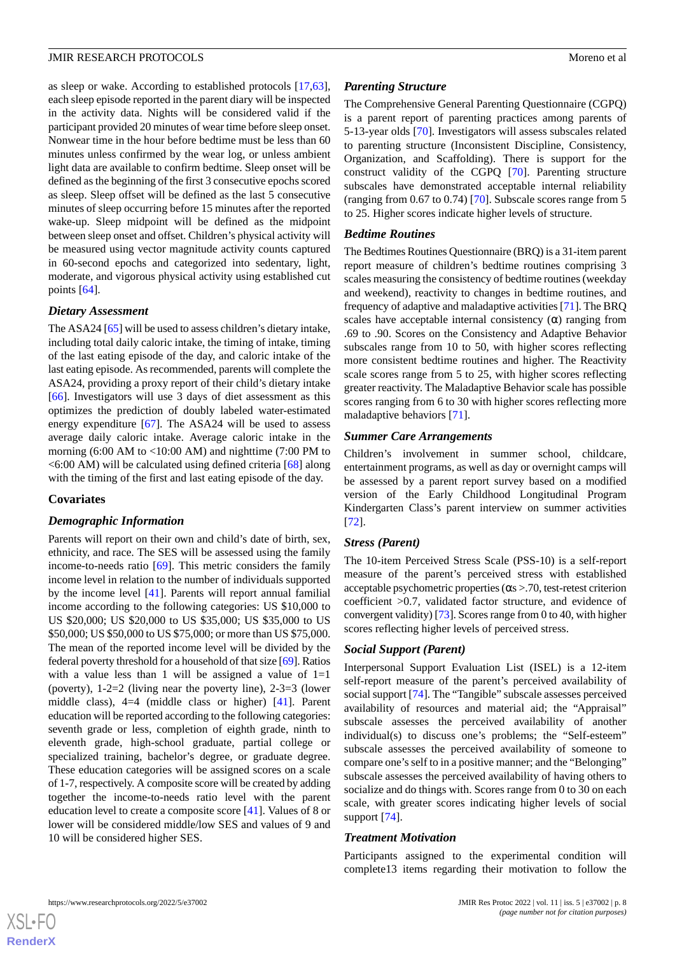as sleep or wake. According to established protocols [\[17](#page-10-10),[63\]](#page-12-9), each sleep episode reported in the parent diary will be inspected in the activity data. Nights will be considered valid if the participant provided 20 minutes of wear time before sleep onset. Nonwear time in the hour before bedtime must be less than 60 minutes unless confirmed by the wear log, or unless ambient light data are available to confirm bedtime. Sleep onset will be defined as the beginning of the first 3 consecutive epochs scored as sleep. Sleep offset will be defined as the last 5 consecutive minutes of sleep occurring before 15 minutes after the reported wake-up. Sleep midpoint will be defined as the midpoint between sleep onset and offset. Children's physical activity will be measured using vector magnitude activity counts captured in 60-second epochs and categorized into sedentary, light, moderate, and vigorous physical activity using established cut points [[64\]](#page-12-10).

#### *Dietary Assessment*

The ASA24 [[65\]](#page-12-11) will be used to assess children's dietary intake, including total daily caloric intake, the timing of intake, timing of the last eating episode of the day, and caloric intake of the last eating episode. As recommended, parents will complete the ASA24, providing a proxy report of their child's dietary intake [[66\]](#page-12-12). Investigators will use 3 days of diet assessment as this optimizes the prediction of doubly labeled water-estimated energy expenditure [[67\]](#page-12-13). The ASA24 will be used to assess average daily caloric intake. Average caloric intake in the morning  $(6:00 \text{ AM to } <10:00 \text{ AM})$  and nighttime  $(7:00 \text{ PM to})$  $\leq$  6:00 AM) will be calculated using defined criteria [[68\]](#page-12-14) along with the timing of the first and last eating episode of the day.

# **Covariates**

# *Demographic Information*

Parents will report on their own and child's date of birth, sex, ethnicity, and race. The SES will be assessed using the family income-to-needs ratio [\[69](#page-12-15)]. This metric considers the family income level in relation to the number of individuals supported by the income level [\[41](#page-11-11)]. Parents will report annual familial income according to the following categories: US \$10,000 to US \$20,000; US \$20,000 to US \$35,000; US \$35,000 to US \$50,000; US \$50,000 to US \$75,000; or more than US \$75,000. The mean of the reported income level will be divided by the federal poverty threshold for a household of that size [\[69](#page-12-15)]. Ratios with a value less than 1 will be assigned a value of  $1=1$ (poverty), 1-2=2 (living near the poverty line), 2-3=3 (lower middle class), 4=4 (middle class or higher) [\[41](#page-11-11)]. Parent education will be reported according to the following categories: seventh grade or less, completion of eighth grade, ninth to eleventh grade, high-school graduate, partial college or specialized training, bachelor's degree, or graduate degree. These education categories will be assigned scores on a scale of 1-7, respectively. A composite score will be created by adding together the income-to-needs ratio level with the parent education level to create a composite score [\[41](#page-11-11)]. Values of 8 or lower will be considered middle/low SES and values of 9 and 10 will be considered higher SES.

#### *Parenting Structure*

The Comprehensive General Parenting Questionnaire (CGPQ) is a parent report of parenting practices among parents of 5-13-year olds [[70\]](#page-12-16). Investigators will assess subscales related to parenting structure (Inconsistent Discipline, Consistency, Organization, and Scaffolding). There is support for the construct validity of the CGPQ [[70\]](#page-12-16). Parenting structure subscales have demonstrated acceptable internal reliability (ranging from 0.67 to 0.74) [\[70](#page-12-16)]. Subscale scores range from 5 to 25. Higher scores indicate higher levels of structure.

#### *Bedtime Routines*

The Bedtimes Routines Questionnaire (BRQ) is a 31-item parent report measure of children's bedtime routines comprising 3 scales measuring the consistency of bedtime routines (weekday and weekend), reactivity to changes in bedtime routines, and frequency of adaptive and maladaptive activities [\[71](#page-12-17)]. The BRQ scales have acceptable internal consistency  $(\alpha)$  ranging from .69 to .90. Scores on the Consistency and Adaptive Behavior subscales range from 10 to 50, with higher scores reflecting more consistent bedtime routines and higher. The Reactivity scale scores range from 5 to 25, with higher scores reflecting greater reactivity. The Maladaptive Behavior scale has possible scores ranging from 6 to 30 with higher scores reflecting more maladaptive behaviors [\[71](#page-12-17)].

#### *Summer Care Arrangements*

Children's involvement in summer school, childcare, entertainment programs, as well as day or overnight camps will be assessed by a parent report survey based on a modified version of the Early Childhood Longitudinal Program Kindergarten Class's parent interview on summer activities [[72\]](#page-12-18).

# *Stress (Parent)*

The 10-item Perceived Stress Scale (PSS-10) is a self-report measure of the parent's perceived stress with established acceptable psychometric properties  $(\alpha s > .70)$ , test-retest criterion coefficient >0.7, validated factor structure, and evidence of convergent validity) [[73\]](#page-12-19). Scores range from 0 to 40, with higher scores reflecting higher levels of perceived stress.

# *Social Support (Parent)*

Interpersonal Support Evaluation List (ISEL) is a 12-item self-report measure of the parent's perceived availability of social support [[74\]](#page-12-20). The "Tangible" subscale assesses perceived availability of resources and material aid; the "Appraisal" subscale assesses the perceived availability of another individual(s) to discuss one's problems; the "Self-esteem" subscale assesses the perceived availability of someone to compare one's self to in a positive manner; and the "Belonging" subscale assesses the perceived availability of having others to socialize and do things with. Scores range from 0 to 30 on each scale, with greater scores indicating higher levels of social support [[74\]](#page-12-20).

#### *Treatment Motivation*

Participants assigned to the experimental condition will complete13 items regarding their motivation to follow the

 $XS$  $\cdot$ FC **[RenderX](http://www.renderx.com/)**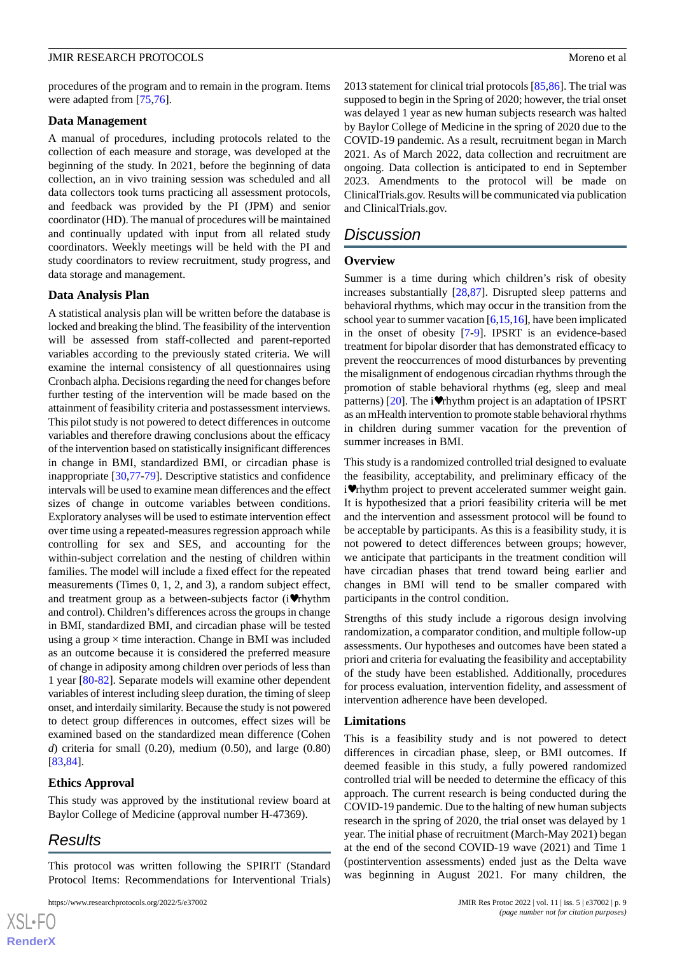procedures of the program and to remain in the program. Items were adapted from [\[75](#page-12-21),[76\]](#page-12-22).

#### **Data Management**

A manual of procedures, including protocols related to the collection of each measure and storage, was developed at the beginning of the study. In 2021, before the beginning of data collection, an in vivo training session was scheduled and all data collectors took turns practicing all assessment protocols, and feedback was provided by the PI (JPM) and senior coordinator (HD). The manual of procedures will be maintained and continually updated with input from all related study coordinators. Weekly meetings will be held with the PI and study coordinators to review recruitment, study progress, and data storage and management.

#### **Data Analysis Plan**

A statistical analysis plan will be written before the database is locked and breaking the blind. The feasibility of the intervention will be assessed from staff-collected and parent-reported variables according to the previously stated criteria. We will examine the internal consistency of all questionnaires using Cronbach alpha. Decisions regarding the need for changes before further testing of the intervention will be made based on the attainment of feasibility criteria and postassessment interviews. This pilot study is not powered to detect differences in outcome variables and therefore drawing conclusions about the efficacy of the intervention based on statistically insignificant differences in change in BMI, standardized BMI, or circadian phase is inappropriate [[30,](#page-11-2)[77](#page-13-0)-[79\]](#page-13-1). Descriptive statistics and confidence intervals will be used to examine mean differences and the effect sizes of change in outcome variables between conditions. Exploratory analyses will be used to estimate intervention effect over time using a repeated-measures regression approach while controlling for sex and SES, and accounting for the within-subject correlation and the nesting of children within families. The model will include a fixed effect for the repeated measurements (Times 0, 1, 2, and 3), a random subject effect, and treatment group as a between-subjects factor (i♥rhythm and control). Children's differences across the groups in change in BMI, standardized BMI, and circadian phase will be tested using a group  $\times$  time interaction. Change in BMI was included as an outcome because it is considered the preferred measure of change in adiposity among children over periods of less than 1 year [\[80](#page-13-2)[-82](#page-13-3)]. Separate models will examine other dependent variables of interest including sleep duration, the timing of sleep onset, and interdaily similarity. Because the study is not powered to detect group differences in outcomes, effect sizes will be examined based on the standardized mean difference (Cohen *d*) criteria for small (0.20), medium (0.50), and large (0.80) [[83](#page-13-4)[,84](#page-13-5)].

# **Ethics Approval**

This study was approved by the institutional review board at Baylor College of Medicine (approval number H-47369).

# *Results*

 $XS$  $\cdot$ FC **[RenderX](http://www.renderx.com/)**

This protocol was written following the SPIRIT (Standard Protocol Items: Recommendations for Interventional Trials)

2013 statement for clinical trial protocols [[85,](#page-13-6)[86\]](#page-13-7). The trial was supposed to begin in the Spring of 2020; however, the trial onset was delayed 1 year as new human subjects research was halted by Baylor College of Medicine in the spring of 2020 due to the COVID-19 pandemic. As a result, recruitment began in March 2021. As of March 2022, data collection and recruitment are ongoing. Data collection is anticipated to end in September 2023. Amendments to the protocol will be made on ClinicalTrials.gov. Results will be communicated via publication and ClinicalTrials.gov.

# *Discussion*

#### **Overview**

Summer is a time during which children's risk of obesity increases substantially [\[28](#page-11-0),[87\]](#page-13-8). Disrupted sleep patterns and behavioral rhythms, which may occur in the transition from the school year to summer vacation [[6,](#page-10-3)[15](#page-10-9)[,16](#page-10-21)], have been implicated in the onset of obesity [[7-](#page-10-4)[9](#page-10-5)]. IPSRT is an evidence-based treatment for bipolar disorder that has demonstrated efficacy to prevent the reoccurrences of mood disturbances by preventing the misalignment of endogenous circadian rhythms through the promotion of stable behavioral rhythms (eg, sleep and meal patterns)  $[20]$  $[20]$ . The i $\blacktriangledown$ rhythm project is an adaptation of IPSRT as an mHealth intervention to promote stable behavioral rhythms in children during summer vacation for the prevention of summer increases in BMI.

This study is a randomized controlled trial designed to evaluate the feasibility, acceptability, and preliminary efficacy of the i♥rhythm project to prevent accelerated summer weight gain. It is hypothesized that a priori feasibility criteria will be met and the intervention and assessment protocol will be found to be acceptable by participants. As this is a feasibility study, it is not powered to detect differences between groups; however, we anticipate that participants in the treatment condition will have circadian phases that trend toward being earlier and changes in BMI will tend to be smaller compared with participants in the control condition.

Strengths of this study include a rigorous design involving randomization, a comparator condition, and multiple follow-up assessments. Our hypotheses and outcomes have been stated a priori and criteria for evaluating the feasibility and acceptability of the study have been established. Additionally, procedures for process evaluation, intervention fidelity, and assessment of intervention adherence have been developed.

#### **Limitations**

This is a feasibility study and is not powered to detect differences in circadian phase, sleep, or BMI outcomes. If deemed feasible in this study, a fully powered randomized controlled trial will be needed to determine the efficacy of this approach. The current research is being conducted during the COVID-19 pandemic. Due to the halting of new human subjects research in the spring of 2020, the trial onset was delayed by 1 year. The initial phase of recruitment (March-May 2021) began at the end of the second COVID-19 wave (2021) and Time 1 (postintervention assessments) ended just as the Delta wave was beginning in August 2021. For many children, the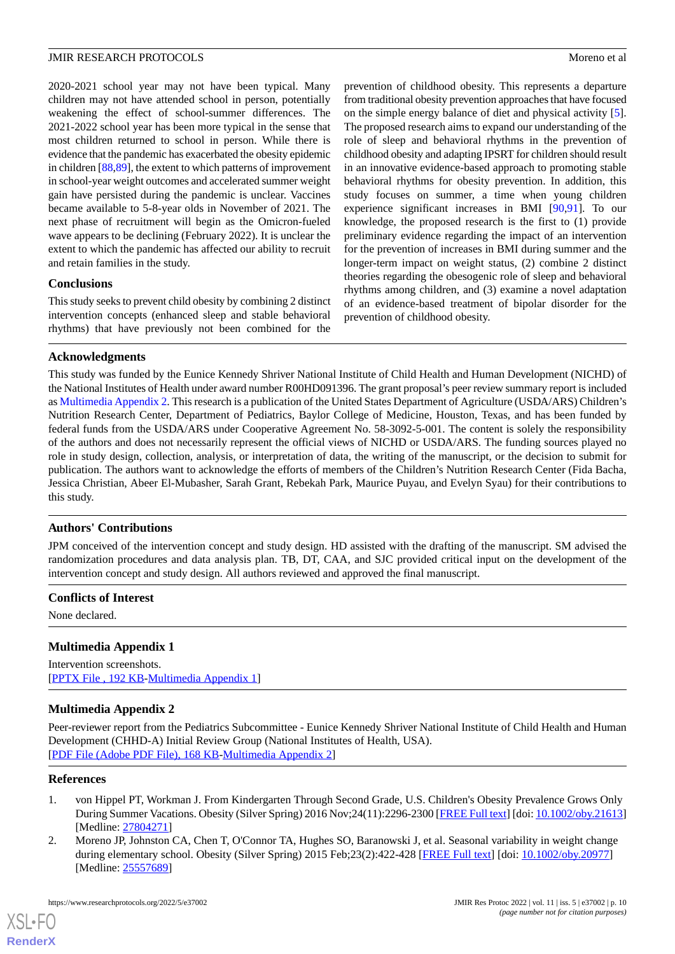2020-2021 school year may not have been typical. Many children may not have attended school in person, potentially weakening the effect of school-summer differences. The 2021-2022 school year has been more typical in the sense that most children returned to school in person. While there is evidence that the pandemic has exacerbated the obesity epidemic in children [[88,](#page-13-9)[89](#page-13-10)], the extent to which patterns of improvement in school-year weight outcomes and accelerated summer weight gain have persisted during the pandemic is unclear. Vaccines became available to 5-8-year olds in November of 2021. The next phase of recruitment will begin as the Omicron-fueled wave appears to be declining (February 2022). It is unclear the extent to which the pandemic has affected our ability to recruit and retain families in the study.

# **Conclusions**

This study seeks to prevent child obesity by combining 2 distinct intervention concepts (enhanced sleep and stable behavioral rhythms) that have previously not been combined for the

prevention of childhood obesity. This represents a departure from traditional obesity prevention approaches that have focused on the simple energy balance of diet and physical activity [[5\]](#page-10-2). The proposed research aims to expand our understanding of the role of sleep and behavioral rhythms in the prevention of childhood obesity and adapting IPSRT for children should result in an innovative evidence-based approach to promoting stable behavioral rhythms for obesity prevention. In addition, this study focuses on summer, a time when young children experience significant increases in BMI [[90](#page-13-11)[,91](#page-13-12)]. To our knowledge, the proposed research is the first to (1) provide preliminary evidence regarding the impact of an intervention for the prevention of increases in BMI during summer and the longer-term impact on weight status, (2) combine 2 distinct theories regarding the obesogenic role of sleep and behavioral rhythms among children, and (3) examine a novel adaptation of an evidence-based treatment of bipolar disorder for the prevention of childhood obesity.

# **Acknowledgments**

This study was funded by the Eunice Kennedy Shriver National Institute of Child Health and Human Development (NICHD) of the National Institutes of Health under award number R00HD091396. The grant proposal's peer review summary report is included as [Multimedia Appendix 2](#page-9-3). This research is a publication of the United States Department of Agriculture (USDA/ARS) Children's Nutrition Research Center, Department of Pediatrics, Baylor College of Medicine, Houston, Texas, and has been funded by federal funds from the USDA/ARS under Cooperative Agreement No. 58-3092-5-001. The content is solely the responsibility of the authors and does not necessarily represent the official views of NICHD or USDA/ARS. The funding sources played no role in study design, collection, analysis, or interpretation of data, the writing of the manuscript, or the decision to submit for publication. The authors want to acknowledge the efforts of members of the Children's Nutrition Research Center (Fida Bacha, Jessica Christian, Abeer El-Mubasher, Sarah Grant, Rebekah Park, Maurice Puyau, and Evelyn Syau) for their contributions to this study.

# **Authors' Contributions**

JPM conceived of the intervention concept and study design. HD assisted with the drafting of the manuscript. SM advised the randomization procedures and data analysis plan. TB, DT, CAA, and SJC provided critical input on the development of the intervention concept and study design. All authors reviewed and approved the final manuscript.

# <span id="page-9-2"></span>**Conflicts of Interest**

None declared.

# <span id="page-9-3"></span>**Multimedia Appendix 1**

Intervention screenshots. [[PPTX File , 192 KB](https://jmir.org/api/download?alt_name=resprot_v11i5e37002_app1.pptx&filename=a0ceb4e2a6a925af3158b6add8cddd8b.pptx)-[Multimedia Appendix 1\]](https://jmir.org/api/download?alt_name=resprot_v11i5e37002_app1.pptx&filename=a0ceb4e2a6a925af3158b6add8cddd8b.pptx)

# **Multimedia Appendix 2**

<span id="page-9-0"></span>Peer-reviewer report from the Pediatrics Subcommittee - Eunice Kennedy Shriver National Institute of Child Health and Human Development (CHHD-A) Initial Review Group (National Institutes of Health, USA). [[PDF File \(Adobe PDF File\), 168 KB](https://jmir.org/api/download?alt_name=resprot_v11i5e37002_app2.pdf&filename=25db72aea107b53eee1917ca4e8dd7f4.pdf)-[Multimedia Appendix 2\]](https://jmir.org/api/download?alt_name=resprot_v11i5e37002_app2.pdf&filename=25db72aea107b53eee1917ca4e8dd7f4.pdf)

# <span id="page-9-1"></span>**References**

- 1. von Hippel PT, Workman J. From Kindergarten Through Second Grade, U.S. Children's Obesity Prevalence Grows Only During Summer Vacations. Obesity (Silver Spring) 2016 Nov;24(11):2296-2300 [[FREE Full text\]](https://doi.org/10.1002/oby.21613) [doi: [10.1002/oby.21613\]](http://dx.doi.org/10.1002/oby.21613) [Medline: [27804271](http://www.ncbi.nlm.nih.gov/entrez/query.fcgi?cmd=Retrieve&db=PubMed&list_uids=27804271&dopt=Abstract)]
- 2. Moreno JP, Johnston CA, Chen T, O'Connor TA, Hughes SO, Baranowski J, et al. Seasonal variability in weight change during elementary school. Obesity (Silver Spring) 2015 Feb;23(2):422-428 [[FREE Full text](https://doi.org/10.1002/oby.20977)] [doi: [10.1002/oby.20977\]](http://dx.doi.org/10.1002/oby.20977) [Medline: [25557689](http://www.ncbi.nlm.nih.gov/entrez/query.fcgi?cmd=Retrieve&db=PubMed&list_uids=25557689&dopt=Abstract)]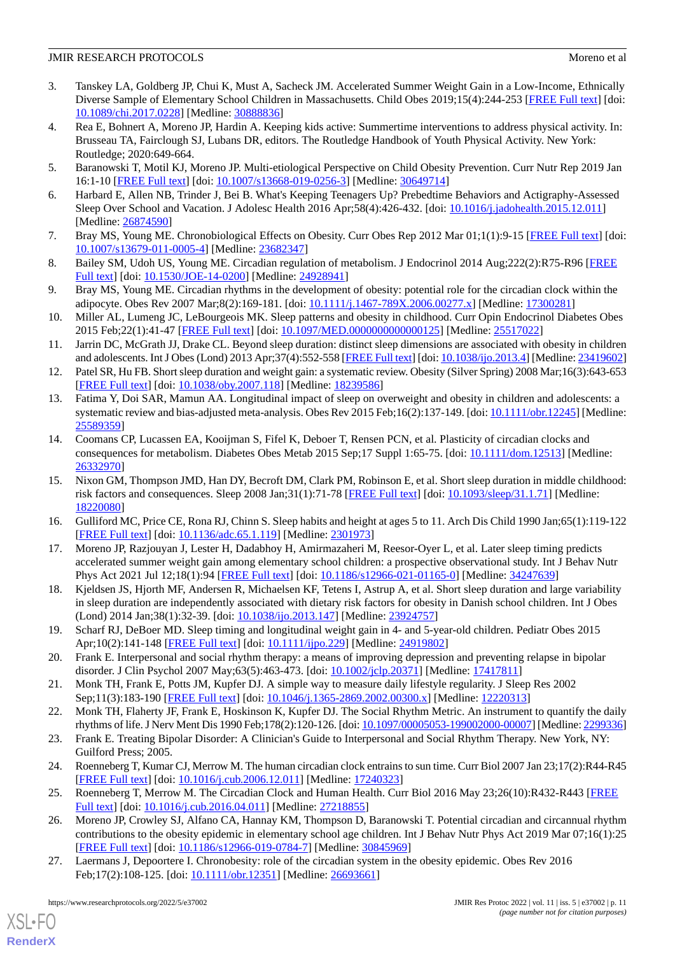- <span id="page-10-0"></span>3. Tanskey LA, Goldberg JP, Chui K, Must A, Sacheck JM. Accelerated Summer Weight Gain in a Low-Income, Ethnically Diverse Sample of Elementary School Children in Massachusetts. Child Obes 2019;15(4):244-253 [[FREE Full text](http://europepmc.org/abstract/MED/30888836)] [doi: [10.1089/chi.2017.0228](http://dx.doi.org/10.1089/chi.2017.0228)] [Medline: [30888836\]](http://www.ncbi.nlm.nih.gov/entrez/query.fcgi?cmd=Retrieve&db=PubMed&list_uids=30888836&dopt=Abstract)
- <span id="page-10-1"></span>4. Rea E, Bohnert A, Moreno JP, Hardin A. Keeping kids active: Summertime interventions to address physical activity. In: Brusseau TA, Fairclough SJ, Lubans DR, editors. The Routledge Handbook of Youth Physical Activity. New York: Routledge; 2020:649-664.
- <span id="page-10-3"></span><span id="page-10-2"></span>5. Baranowski T, Motil KJ, Moreno JP. Multi-etiological Perspective on Child Obesity Prevention. Curr Nutr Rep 2019 Jan 16:1-10 [[FREE Full text\]](http://europepmc.org/abstract/MED/30649714) [doi: [10.1007/s13668-019-0256-3](http://dx.doi.org/10.1007/s13668-019-0256-3)] [Medline: [30649714](http://www.ncbi.nlm.nih.gov/entrez/query.fcgi?cmd=Retrieve&db=PubMed&list_uids=30649714&dopt=Abstract)]
- <span id="page-10-4"></span>6. Harbard E, Allen NB, Trinder J, Bei B. What's Keeping Teenagers Up? Prebedtime Behaviors and Actigraphy-Assessed Sleep Over School and Vacation. J Adolesc Health 2016 Apr;58(4):426-432. [doi: [10.1016/j.jadohealth.2015.12.011](http://dx.doi.org/10.1016/j.jadohealth.2015.12.011)] [Medline: [26874590](http://www.ncbi.nlm.nih.gov/entrez/query.fcgi?cmd=Retrieve&db=PubMed&list_uids=26874590&dopt=Abstract)]
- 7. Bray MS, Young ME. Chronobiological Effects on Obesity. Curr Obes Rep 2012 Mar 01;1(1):9-15 [[FREE Full text](http://europepmc.org/abstract/MED/23682347)] [doi: [10.1007/s13679-011-0005-4\]](http://dx.doi.org/10.1007/s13679-011-0005-4) [Medline: [23682347](http://www.ncbi.nlm.nih.gov/entrez/query.fcgi?cmd=Retrieve&db=PubMed&list_uids=23682347&dopt=Abstract)]
- <span id="page-10-5"></span>8. Bailey SM, Udoh US, Young ME. Circadian regulation of metabolism. J Endocrinol 2014 Aug;222(2):R75-R96 [\[FREE](http://europepmc.org/abstract/MED/24928941) [Full text\]](http://europepmc.org/abstract/MED/24928941) [doi: [10.1530/JOE-14-0200](http://dx.doi.org/10.1530/JOE-14-0200)] [Medline: [24928941](http://www.ncbi.nlm.nih.gov/entrez/query.fcgi?cmd=Retrieve&db=PubMed&list_uids=24928941&dopt=Abstract)]
- <span id="page-10-6"></span>9. Bray MS, Young ME. Circadian rhythms in the development of obesity: potential role for the circadian clock within the adipocyte. Obes Rev 2007 Mar;8(2):169-181. [doi: [10.1111/j.1467-789X.2006.00277.x](http://dx.doi.org/10.1111/j.1467-789X.2006.00277.x)] [Medline: [17300281](http://www.ncbi.nlm.nih.gov/entrez/query.fcgi?cmd=Retrieve&db=PubMed&list_uids=17300281&dopt=Abstract)]
- 10. Miller AL, Lumeng JC, LeBourgeois MK. Sleep patterns and obesity in childhood. Curr Opin Endocrinol Diabetes Obes 2015 Feb;22(1):41-47 [\[FREE Full text\]](http://europepmc.org/abstract/MED/25517022) [doi: [10.1097/MED.0000000000000125](http://dx.doi.org/10.1097/MED.0000000000000125)] [Medline: [25517022\]](http://www.ncbi.nlm.nih.gov/entrez/query.fcgi?cmd=Retrieve&db=PubMed&list_uids=25517022&dopt=Abstract)
- <span id="page-10-11"></span>11. Jarrin DC, McGrath JJ, Drake CL. Beyond sleep duration: distinct sleep dimensions are associated with obesity in children and adolescents. Int J Obes (Lond) 2013 Apr;37(4):552-558 [[FREE Full text](http://europepmc.org/abstract/MED/23419602)] [doi: [10.1038/ijo.2013.4\]](http://dx.doi.org/10.1038/ijo.2013.4) [Medline: [23419602\]](http://www.ncbi.nlm.nih.gov/entrez/query.fcgi?cmd=Retrieve&db=PubMed&list_uids=23419602&dopt=Abstract)
- <span id="page-10-7"></span>12. Patel SR, Hu FB. Short sleep duration and weight gain: a systematic review. Obesity (Silver Spring) 2008 Mar;16(3):643-653 [[FREE Full text](https://doi.org/10.1038/oby.2007.118)] [doi: [10.1038/oby.2007.118](http://dx.doi.org/10.1038/oby.2007.118)] [Medline: [18239586\]](http://www.ncbi.nlm.nih.gov/entrez/query.fcgi?cmd=Retrieve&db=PubMed&list_uids=18239586&dopt=Abstract)
- <span id="page-10-8"></span>13. Fatima Y, Doi SAR, Mamun AA. Longitudinal impact of sleep on overweight and obesity in children and adolescents: a systematic review and bias-adjusted meta-analysis. Obes Rev 2015 Feb;16(2):137-149. [doi: [10.1111/obr.12245](http://dx.doi.org/10.1111/obr.12245)] [Medline: [25589359](http://www.ncbi.nlm.nih.gov/entrez/query.fcgi?cmd=Retrieve&db=PubMed&list_uids=25589359&dopt=Abstract)]
- <span id="page-10-9"></span>14. Coomans CP, Lucassen EA, Kooijman S, Fifel K, Deboer T, Rensen PCN, et al. Plasticity of circadian clocks and consequences for metabolism. Diabetes Obes Metab 2015 Sep;17 Suppl 1:65-75. [doi: [10.1111/dom.12513](http://dx.doi.org/10.1111/dom.12513)] [Medline: [26332970](http://www.ncbi.nlm.nih.gov/entrez/query.fcgi?cmd=Retrieve&db=PubMed&list_uids=26332970&dopt=Abstract)]
- <span id="page-10-21"></span><span id="page-10-10"></span>15. Nixon GM, Thompson JMD, Han DY, Becroft DM, Clark PM, Robinson E, et al. Short sleep duration in middle childhood: risk factors and consequences. Sleep 2008 Jan;31(1):71-78 [[FREE Full text\]](http://europepmc.org/abstract/MED/18220080) [doi: [10.1093/sleep/31.1.71\]](http://dx.doi.org/10.1093/sleep/31.1.71) [Medline: [18220080](http://www.ncbi.nlm.nih.gov/entrez/query.fcgi?cmd=Retrieve&db=PubMed&list_uids=18220080&dopt=Abstract)]
- <span id="page-10-12"></span>16. Gulliford MC, Price CE, Rona RJ, Chinn S. Sleep habits and height at ages 5 to 11. Arch Dis Child 1990 Jan;65(1):119-122 [[FREE Full text](http://europepmc.org/abstract/MED/2301973)] [doi: [10.1136/adc.65.1.119](http://dx.doi.org/10.1136/adc.65.1.119)] [Medline: [2301973\]](http://www.ncbi.nlm.nih.gov/entrez/query.fcgi?cmd=Retrieve&db=PubMed&list_uids=2301973&dopt=Abstract)
- <span id="page-10-13"></span>17. Moreno JP, Razjouyan J, Lester H, Dadabhoy H, Amirmazaheri M, Reesor-Oyer L, et al. Later sleep timing predicts accelerated summer weight gain among elementary school children: a prospective observational study. Int J Behav Nutr Phys Act 2021 Jul 12;18(1):94 [\[FREE Full text\]](https://ijbnpa.biomedcentral.com/articles/10.1186/s12966-021-01165-0) [doi: [10.1186/s12966-021-01165-0\]](http://dx.doi.org/10.1186/s12966-021-01165-0) [Medline: [34247639\]](http://www.ncbi.nlm.nih.gov/entrez/query.fcgi?cmd=Retrieve&db=PubMed&list_uids=34247639&dopt=Abstract)
- <span id="page-10-14"></span>18. Kjeldsen JS, Hjorth MF, Andersen R, Michaelsen KF, Tetens I, Astrup A, et al. Short sleep duration and large variability in sleep duration are independently associated with dietary risk factors for obesity in Danish school children. Int J Obes (Lond) 2014 Jan;38(1):32-39. [doi: [10.1038/ijo.2013.147](http://dx.doi.org/10.1038/ijo.2013.147)] [Medline: [23924757](http://www.ncbi.nlm.nih.gov/entrez/query.fcgi?cmd=Retrieve&db=PubMed&list_uids=23924757&dopt=Abstract)]
- <span id="page-10-15"></span>19. Scharf RJ, DeBoer MD. Sleep timing and longitudinal weight gain in 4- and 5-year-old children. Pediatr Obes 2015 Apr;10(2):141-148 [\[FREE Full text\]](http://europepmc.org/abstract/MED/24919802) [doi: [10.1111/ijpo.229](http://dx.doi.org/10.1111/ijpo.229)] [Medline: [24919802](http://www.ncbi.nlm.nih.gov/entrez/query.fcgi?cmd=Retrieve&db=PubMed&list_uids=24919802&dopt=Abstract)]
- <span id="page-10-16"></span>20. Frank E. Interpersonal and social rhythm therapy: a means of improving depression and preventing relapse in bipolar disorder. J Clin Psychol 2007 May;63(5):463-473. [doi: [10.1002/jclp.20371\]](http://dx.doi.org/10.1002/jclp.20371) [Medline: [17417811](http://www.ncbi.nlm.nih.gov/entrez/query.fcgi?cmd=Retrieve&db=PubMed&list_uids=17417811&dopt=Abstract)]
- <span id="page-10-17"></span>21. Monk TH, Frank E, Potts JM, Kupfer DJ. A simple way to measure daily lifestyle regularity. J Sleep Res 2002 Sep;11(3):183-190 [[FREE Full text](https://onlinelibrary.wiley.com/resolve/openurl?genre=article&sid=nlm:pubmed&issn=0962-1105&date=2002&volume=11&issue=3&spage=183)] [doi: [10.1046/j.1365-2869.2002.00300.x\]](http://dx.doi.org/10.1046/j.1365-2869.2002.00300.x) [Medline: [12220313\]](http://www.ncbi.nlm.nih.gov/entrez/query.fcgi?cmd=Retrieve&db=PubMed&list_uids=12220313&dopt=Abstract)
- <span id="page-10-18"></span>22. Monk TH, Flaherty JF, Frank E, Hoskinson K, Kupfer DJ. The Social Rhythm Metric. An instrument to quantify the daily rhythms of life. J Nerv Ment Dis 1990 Feb;178(2):120-126. [doi: [10.1097/00005053-199002000-00007](http://dx.doi.org/10.1097/00005053-199002000-00007)] [Medline: [2299336](http://www.ncbi.nlm.nih.gov/entrez/query.fcgi?cmd=Retrieve&db=PubMed&list_uids=2299336&dopt=Abstract)]
- <span id="page-10-19"></span>23. Frank E. Treating Bipolar Disorder: A Clinician's Guide to Interpersonal and Social Rhythm Therapy. New York, NY: Guilford Press; 2005.
- <span id="page-10-20"></span>24. Roenneberg T, Kumar CJ, Merrow M. The human circadian clock entrains to sun time. Curr Biol 2007 Jan 23;17(2):R44-R45 [[FREE Full text](https://linkinghub.elsevier.com/retrieve/pii/S0960-9822(06)02609-1)] [doi: [10.1016/j.cub.2006.12.011\]](http://dx.doi.org/10.1016/j.cub.2006.12.011) [Medline: [17240323](http://www.ncbi.nlm.nih.gov/entrez/query.fcgi?cmd=Retrieve&db=PubMed&list_uids=17240323&dopt=Abstract)]
- 25. Roenneberg T, Merrow M. The Circadian Clock and Human Health. Curr Biol 2016 May 23;26(10):R432-R443 [[FREE](https://linkinghub.elsevier.com/retrieve/pii/S0960-9822(16)30333-5) [Full text\]](https://linkinghub.elsevier.com/retrieve/pii/S0960-9822(16)30333-5) [doi: [10.1016/j.cub.2016.04.011](http://dx.doi.org/10.1016/j.cub.2016.04.011)] [Medline: [27218855](http://www.ncbi.nlm.nih.gov/entrez/query.fcgi?cmd=Retrieve&db=PubMed&list_uids=27218855&dopt=Abstract)]
- 26. Moreno JP, Crowley SJ, Alfano CA, Hannay KM, Thompson D, Baranowski T. Potential circadian and circannual rhythm contributions to the obesity epidemic in elementary school age children. Int J Behav Nutr Phys Act 2019 Mar 07;16(1):25 [[FREE Full text](https://ijbnpa.biomedcentral.com/articles/10.1186/s12966-019-0784-7)] [doi: [10.1186/s12966-019-0784-7\]](http://dx.doi.org/10.1186/s12966-019-0784-7) [Medline: [30845969](http://www.ncbi.nlm.nih.gov/entrez/query.fcgi?cmd=Retrieve&db=PubMed&list_uids=30845969&dopt=Abstract)]
- 27. Laermans J, Depoortere I. Chronobesity: role of the circadian system in the obesity epidemic. Obes Rev 2016 Feb;17(2):108-125. [doi: [10.1111/obr.12351](http://dx.doi.org/10.1111/obr.12351)] [Medline: [26693661\]](http://www.ncbi.nlm.nih.gov/entrez/query.fcgi?cmd=Retrieve&db=PubMed&list_uids=26693661&dopt=Abstract)

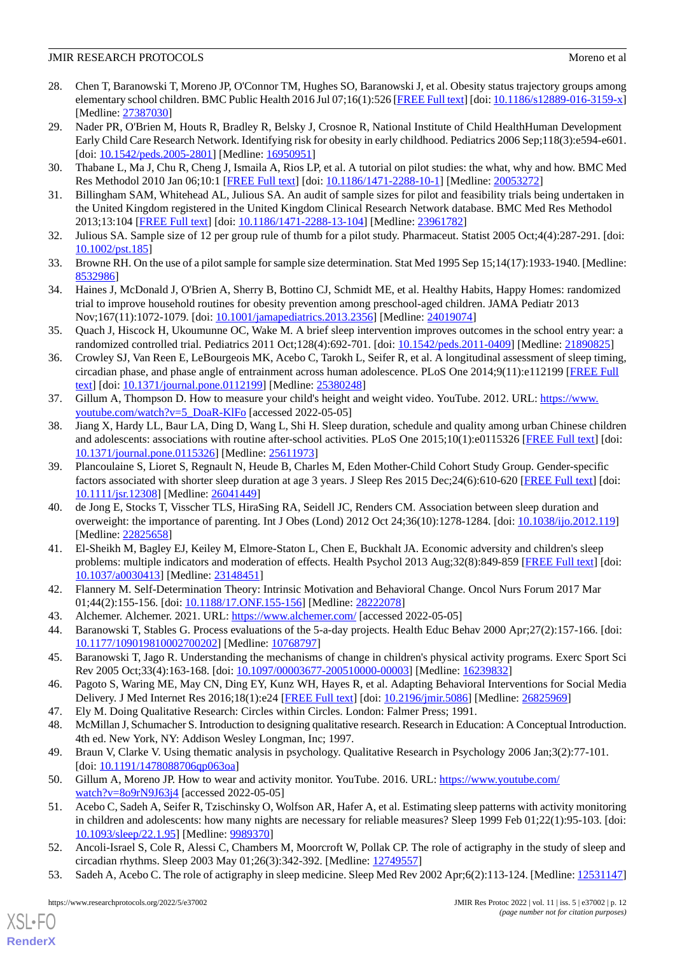- <span id="page-11-0"></span>28. Chen T, Baranowski T, Moreno JP, O'Connor TM, Hughes SO, Baranowski J, et al. Obesity status trajectory groups among elementary school children. BMC Public Health 2016 Jul 07;16(1):526 [\[FREE Full text](https://bmcpublichealth.biomedcentral.com/articles/10.1186/s12889-016-3159-x)] [doi: [10.1186/s12889-016-3159-x](http://dx.doi.org/10.1186/s12889-016-3159-x)] [Medline: [27387030](http://www.ncbi.nlm.nih.gov/entrez/query.fcgi?cmd=Retrieve&db=PubMed&list_uids=27387030&dopt=Abstract)]
- <span id="page-11-1"></span>29. Nader PR, O'Brien M, Houts R, Bradley R, Belsky J, Crosnoe R, National Institute of Child HealthHuman Development Early Child Care Research Network. Identifying risk for obesity in early childhood. Pediatrics 2006 Sep;118(3):e594-e601. [doi: [10.1542/peds.2005-2801](http://dx.doi.org/10.1542/peds.2005-2801)] [Medline: [16950951](http://www.ncbi.nlm.nih.gov/entrez/query.fcgi?cmd=Retrieve&db=PubMed&list_uids=16950951&dopt=Abstract)]
- <span id="page-11-2"></span>30. Thabane L, Ma J, Chu R, Cheng J, Ismaila A, Rios LP, et al. A tutorial on pilot studies: the what, why and how. BMC Med Res Methodol 2010 Jan 06;10:1 [\[FREE Full text](https://bmcmedresmethodol.biomedcentral.com/articles/10.1186/1471-2288-10-1)] [doi: [10.1186/1471-2288-10-1](http://dx.doi.org/10.1186/1471-2288-10-1)] [Medline: [20053272\]](http://www.ncbi.nlm.nih.gov/entrez/query.fcgi?cmd=Retrieve&db=PubMed&list_uids=20053272&dopt=Abstract)
- 31. Billingham SAM, Whitehead AL, Julious SA. An audit of sample sizes for pilot and feasibility trials being undertaken in the United Kingdom registered in the United Kingdom Clinical Research Network database. BMC Med Res Methodol 2013;13:104 [[FREE Full text](http://bmcmedresmethodol.biomedcentral.com/articles/10.1186/1471-2288-13-104)] [doi: [10.1186/1471-2288-13-104\]](http://dx.doi.org/10.1186/1471-2288-13-104) [Medline: [23961782\]](http://www.ncbi.nlm.nih.gov/entrez/query.fcgi?cmd=Retrieve&db=PubMed&list_uids=23961782&dopt=Abstract)
- <span id="page-11-3"></span>32. Julious SA. Sample size of 12 per group rule of thumb for a pilot study. Pharmaceut. Statist 2005 Oct;4(4):287-291. [doi: [10.1002/pst.185\]](http://dx.doi.org/10.1002/pst.185)
- <span id="page-11-4"></span>33. Browne RH. On the use of a pilot sample for sample size determination. Stat Med 1995 Sep 15;14(17):1933-1940. [Medline: [8532986\]](http://www.ncbi.nlm.nih.gov/entrez/query.fcgi?cmd=Retrieve&db=PubMed&list_uids=8532986&dopt=Abstract)
- <span id="page-11-5"></span>34. Haines J, McDonald J, O'Brien A, Sherry B, Bottino CJ, Schmidt ME, et al. Healthy Habits, Happy Homes: randomized trial to improve household routines for obesity prevention among preschool-aged children. JAMA Pediatr 2013 Nov;167(11):1072-1079. [doi: [10.1001/jamapediatrics.2013.2356](http://dx.doi.org/10.1001/jamapediatrics.2013.2356)] [Medline: [24019074\]](http://www.ncbi.nlm.nih.gov/entrez/query.fcgi?cmd=Retrieve&db=PubMed&list_uids=24019074&dopt=Abstract)
- <span id="page-11-6"></span>35. Quach J, Hiscock H, Ukoumunne OC, Wake M. A brief sleep intervention improves outcomes in the school entry year: a randomized controlled trial. Pediatrics 2011 Oct;128(4):692-701. [doi: [10.1542/peds.2011-0409\]](http://dx.doi.org/10.1542/peds.2011-0409) [Medline: [21890825](http://www.ncbi.nlm.nih.gov/entrez/query.fcgi?cmd=Retrieve&db=PubMed&list_uids=21890825&dopt=Abstract)]
- <span id="page-11-7"></span>36. Crowley SJ, Van Reen E, LeBourgeois MK, Acebo C, Tarokh L, Seifer R, et al. A longitudinal assessment of sleep timing, circadian phase, and phase angle of entrainment across human adolescence. PLoS One 2014;9(11):e112199 [[FREE Full](https://dx.plos.org/10.1371/journal.pone.0112199) [text](https://dx.plos.org/10.1371/journal.pone.0112199)] [doi: [10.1371/journal.pone.0112199\]](http://dx.doi.org/10.1371/journal.pone.0112199) [Medline: [25380248](http://www.ncbi.nlm.nih.gov/entrez/query.fcgi?cmd=Retrieve&db=PubMed&list_uids=25380248&dopt=Abstract)]
- <span id="page-11-8"></span>37. Gillum A, Thompson D. How to measure your child's height and weight video. YouTube. 2012. URL: [https://www.](https://www.youtube.com/watch?v=5_DoaR-KlFo) [youtube.com/watch?v=5\\_DoaR-KlFo](https://www.youtube.com/watch?v=5_DoaR-KlFo) [accessed 2022-05-05]
- <span id="page-11-9"></span>38. Jiang X, Hardy LL, Baur LA, Ding D, Wang L, Shi H. Sleep duration, schedule and quality among urban Chinese children and adolescents: associations with routine after-school activities. PLoS One 2015;10(1):e0115326 [\[FREE Full text](https://dx.plos.org/10.1371/journal.pone.0115326)] [doi: [10.1371/journal.pone.0115326\]](http://dx.doi.org/10.1371/journal.pone.0115326) [Medline: [25611973](http://www.ncbi.nlm.nih.gov/entrez/query.fcgi?cmd=Retrieve&db=PubMed&list_uids=25611973&dopt=Abstract)]
- <span id="page-11-10"></span>39. Plancoulaine S, Lioret S, Regnault N, Heude B, Charles M, Eden Mother-Child Cohort Study Group. Gender-specific factors associated with shorter sleep duration at age 3 years. J Sleep Res 2015 Dec; 24(6):610-620 [\[FREE Full text\]](https://doi.org/10.1111/jsr.12308) [doi: [10.1111/jsr.12308\]](http://dx.doi.org/10.1111/jsr.12308) [Medline: [26041449](http://www.ncbi.nlm.nih.gov/entrez/query.fcgi?cmd=Retrieve&db=PubMed&list_uids=26041449&dopt=Abstract)]
- <span id="page-11-11"></span>40. de Jong E, Stocks T, Visscher TLS, HiraSing RA, Seidell JC, Renders CM. Association between sleep duration and overweight: the importance of parenting. Int J Obes (Lond) 2012 Oct 24;36(10):1278-1284. [doi: [10.1038/ijo.2012.119\]](http://dx.doi.org/10.1038/ijo.2012.119) [Medline: [22825658](http://www.ncbi.nlm.nih.gov/entrez/query.fcgi?cmd=Retrieve&db=PubMed&list_uids=22825658&dopt=Abstract)]
- <span id="page-11-14"></span><span id="page-11-13"></span><span id="page-11-12"></span>41. El-Sheikh M, Bagley EJ, Keiley M, Elmore-Staton L, Chen E, Buckhalt JA. Economic adversity and children's sleep problems: multiple indicators and moderation of effects. Health Psychol 2013 Aug;32(8):849-859 [[FREE Full text\]](http://europepmc.org/abstract/MED/23148451) [doi: [10.1037/a0030413](http://dx.doi.org/10.1037/a0030413)] [Medline: [23148451](http://www.ncbi.nlm.nih.gov/entrez/query.fcgi?cmd=Retrieve&db=PubMed&list_uids=23148451&dopt=Abstract)]
- <span id="page-11-15"></span>42. Flannery M. Self-Determination Theory: Intrinsic Motivation and Behavioral Change. Oncol Nurs Forum 2017 Mar 01;44(2):155-156. [doi: [10.1188/17.ONF.155-156](http://dx.doi.org/10.1188/17.ONF.155-156)] [Medline: [28222078](http://www.ncbi.nlm.nih.gov/entrez/query.fcgi?cmd=Retrieve&db=PubMed&list_uids=28222078&dopt=Abstract)]
- <span id="page-11-16"></span>43. Alchemer. Alchemer. 2021. URL: <https://www.alchemer.com/> [accessed 2022-05-05]
- <span id="page-11-17"></span>44. Baranowski T, Stables G. Process evaluations of the 5-a-day projects. Health Educ Behav 2000 Apr;27(2):157-166. [doi: [10.1177/109019810002700202\]](http://dx.doi.org/10.1177/109019810002700202) [Medline: [10768797\]](http://www.ncbi.nlm.nih.gov/entrez/query.fcgi?cmd=Retrieve&db=PubMed&list_uids=10768797&dopt=Abstract)
- <span id="page-11-18"></span>45. Baranowski T, Jago R. Understanding the mechanisms of change in children's physical activity programs. Exerc Sport Sci Rev 2005 Oct;33(4):163-168. [doi: [10.1097/00003677-200510000-00003\]](http://dx.doi.org/10.1097/00003677-200510000-00003) [Medline: [16239832](http://www.ncbi.nlm.nih.gov/entrez/query.fcgi?cmd=Retrieve&db=PubMed&list_uids=16239832&dopt=Abstract)]
- <span id="page-11-19"></span>46. Pagoto S, Waring ME, May CN, Ding EY, Kunz WH, Hayes R, et al. Adapting Behavioral Interventions for Social Media Delivery. J Med Internet Res 2016;18(1):e24 [\[FREE Full text\]](http://www.jmir.org/2016/1/e24/) [doi: [10.2196/jmir.5086\]](http://dx.doi.org/10.2196/jmir.5086) [Medline: [26825969\]](http://www.ncbi.nlm.nih.gov/entrez/query.fcgi?cmd=Retrieve&db=PubMed&list_uids=26825969&dopt=Abstract)
- <span id="page-11-20"></span>47. Ely M. Doing Qualitative Research: Circles within Circles. London: Falmer Press; 1991.
- <span id="page-11-21"></span>48. McMillan J, Schumacher S. Introduction to designing qualitative research. Research in Education: A Conceptual Introduction. 4th ed. New York, NY: Addison Wesley Longman, Inc; 1997.
- 49. Braun V, Clarke V. Using thematic analysis in psychology. Qualitative Research in Psychology 2006 Jan;3(2):77-101. [doi: [10.1191/1478088706qp063oa\]](http://dx.doi.org/10.1191/1478088706qp063oa)
- <span id="page-11-22"></span>50. Gillum A, Moreno JP. How to wear and activity monitor. YouTube. 2016. URL: [https://www.youtube.com/](https://www.youtube.com/watch?v=8o9rN9J63j4) [watch?v=8o9rN9J63j4](https://www.youtube.com/watch?v=8o9rN9J63j4) [accessed 2022-05-05]
- 51. Acebo C, Sadeh A, Seifer R, Tzischinsky O, Wolfson AR, Hafer A, et al. Estimating sleep patterns with activity monitoring in children and adolescents: how many nights are necessary for reliable measures? Sleep 1999 Feb 01;22(1):95-103. [doi: [10.1093/sleep/22.1.95](http://dx.doi.org/10.1093/sleep/22.1.95)] [Medline: [9989370\]](http://www.ncbi.nlm.nih.gov/entrez/query.fcgi?cmd=Retrieve&db=PubMed&list_uids=9989370&dopt=Abstract)
- 52. Ancoli-Israel S, Cole R, Alessi C, Chambers M, Moorcroft W, Pollak CP. The role of actigraphy in the study of sleep and circadian rhythms. Sleep 2003 May 01;26(3):342-392. [Medline: [12749557\]](http://www.ncbi.nlm.nih.gov/entrez/query.fcgi?cmd=Retrieve&db=PubMed&list_uids=12749557&dopt=Abstract)
- 53. Sadeh A, Acebo C. The role of actigraphy in sleep medicine. Sleep Med Rev 2002 Apr;6(2):113-124. [Medline: [12531147](http://www.ncbi.nlm.nih.gov/entrez/query.fcgi?cmd=Retrieve&db=PubMed&list_uids=12531147&dopt=Abstract)]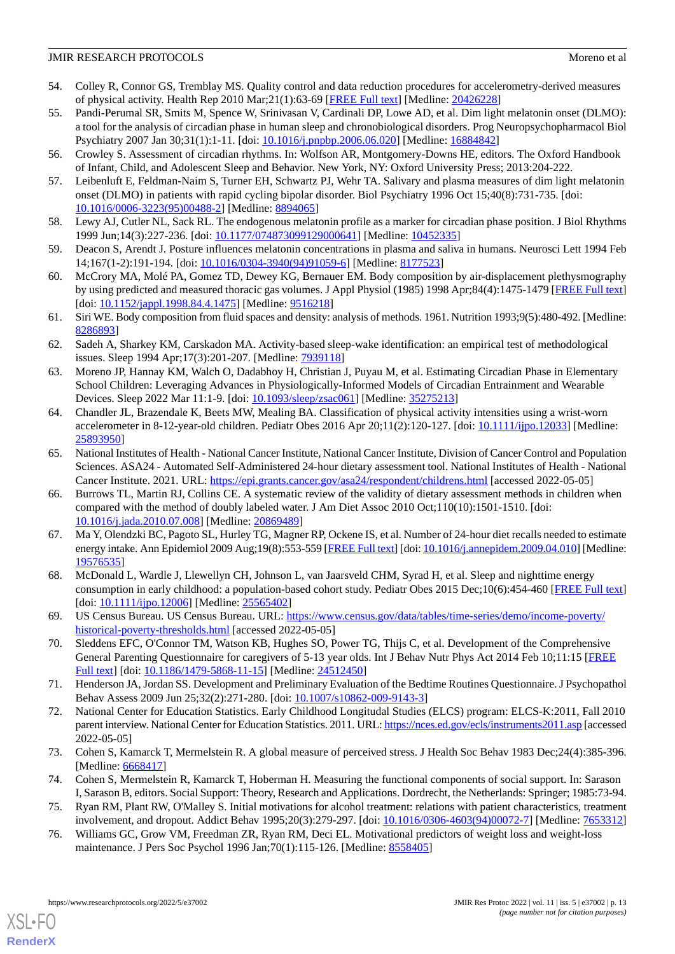- <span id="page-12-0"></span>54. Colley R, Connor GS, Tremblay MS. Quality control and data reduction procedures for accelerometry-derived measures of physical activity. Health Rep 2010 Mar;21(1):63-69 [\[FREE Full text\]](http://www.statcan.gc.ca/pub/82-003-x/2010001/article/11066-eng.pdf) [Medline: [20426228\]](http://www.ncbi.nlm.nih.gov/entrez/query.fcgi?cmd=Retrieve&db=PubMed&list_uids=20426228&dopt=Abstract)
- <span id="page-12-1"></span>55. Pandi-Perumal SR, Smits M, Spence W, Srinivasan V, Cardinali DP, Lowe AD, et al. Dim light melatonin onset (DLMO): a tool for the analysis of circadian phase in human sleep and chronobiological disorders. Prog Neuropsychopharmacol Biol Psychiatry 2007 Jan 30;31(1):1-11. [doi: [10.1016/j.pnpbp.2006.06.020\]](http://dx.doi.org/10.1016/j.pnpbp.2006.06.020) [Medline: [16884842](http://www.ncbi.nlm.nih.gov/entrez/query.fcgi?cmd=Retrieve&db=PubMed&list_uids=16884842&dopt=Abstract)]
- <span id="page-12-3"></span><span id="page-12-2"></span>56. Crowley S. Assessment of circadian rhythms. In: Wolfson AR, Montgomery-Downs HE, editors. The Oxford Handbook of Infant, Child, and Adolescent Sleep and Behavior. New York, NY: Oxford University Press; 2013:204-222.
- <span id="page-12-4"></span>57. Leibenluft E, Feldman-Naim S, Turner EH, Schwartz PJ, Wehr TA. Salivary and plasma measures of dim light melatonin onset (DLMO) in patients with rapid cycling bipolar disorder. Biol Psychiatry 1996 Oct 15;40(8):731-735. [doi: [10.1016/0006-3223\(95\)00488-2](http://dx.doi.org/10.1016/0006-3223(95)00488-2)] [Medline: [8894065\]](http://www.ncbi.nlm.nih.gov/entrez/query.fcgi?cmd=Retrieve&db=PubMed&list_uids=8894065&dopt=Abstract)
- <span id="page-12-5"></span>58. Lewy AJ, Cutler NL, Sack RL. The endogenous melatonin profile as a marker for circadian phase position. J Biol Rhythms 1999 Jun;14(3):227-236. [doi: [10.1177/074873099129000641](http://dx.doi.org/10.1177/074873099129000641)] [Medline: [10452335\]](http://www.ncbi.nlm.nih.gov/entrez/query.fcgi?cmd=Retrieve&db=PubMed&list_uids=10452335&dopt=Abstract)
- <span id="page-12-6"></span>59. Deacon S, Arendt J. Posture influences melatonin concentrations in plasma and saliva in humans. Neurosci Lett 1994 Feb 14;167(1-2):191-194. [doi: [10.1016/0304-3940\(94\)91059-6](http://dx.doi.org/10.1016/0304-3940(94)91059-6)] [Medline: [8177523](http://www.ncbi.nlm.nih.gov/entrez/query.fcgi?cmd=Retrieve&db=PubMed&list_uids=8177523&dopt=Abstract)]
- <span id="page-12-7"></span>60. McCrory MA, Molé PA, Gomez TD, Dewey KG, Bernauer EM. Body composition by air-displacement plethysmography by using predicted and measured thoracic gas volumes. J Appl Physiol (1985) 1998 Apr;84(4):1475-1479 [[FREE Full text](https://journals.physiology.org/doi/10.1152/jappl.1998.84.4.1475?url_ver=Z39.88-2003&rfr_id=ori:rid:crossref.org&rfr_dat=cr_pub%3dpubmed)] [doi: [10.1152/jappl.1998.84.4.1475](http://dx.doi.org/10.1152/jappl.1998.84.4.1475)] [Medline: [9516218\]](http://www.ncbi.nlm.nih.gov/entrez/query.fcgi?cmd=Retrieve&db=PubMed&list_uids=9516218&dopt=Abstract)
- <span id="page-12-8"></span>61. Siri WE. Body composition from fluid spaces and density: analysis of methods. 1961. Nutrition 1993;9(5):480-492. [Medline: [8286893\]](http://www.ncbi.nlm.nih.gov/entrez/query.fcgi?cmd=Retrieve&db=PubMed&list_uids=8286893&dopt=Abstract)
- <span id="page-12-9"></span>62. Sadeh A, Sharkey KM, Carskadon MA. Activity-based sleep-wake identification: an empirical test of methodological issues. Sleep 1994 Apr;17(3):201-207. [Medline: [7939118\]](http://www.ncbi.nlm.nih.gov/entrez/query.fcgi?cmd=Retrieve&db=PubMed&list_uids=7939118&dopt=Abstract)
- <span id="page-12-10"></span>63. Moreno JP, Hannay KM, Walch O, Dadabhoy H, Christian J, Puyau M, et al. Estimating Circadian Phase in Elementary School Children: Leveraging Advances in Physiologically-Informed Models of Circadian Entrainment and Wearable Devices. Sleep 2022 Mar 11:1-9. [doi: [10.1093/sleep/zsac061](http://dx.doi.org/10.1093/sleep/zsac061)] [Medline: [35275213\]](http://www.ncbi.nlm.nih.gov/entrez/query.fcgi?cmd=Retrieve&db=PubMed&list_uids=35275213&dopt=Abstract)
- <span id="page-12-11"></span>64. Chandler JL, Brazendale K, Beets MW, Mealing BA. Classification of physical activity intensities using a wrist-worn accelerometer in 8-12-year-old children. Pediatr Obes 2016 Apr 20;11(2):120-127. [doi: [10.1111/ijpo.12033](http://dx.doi.org/10.1111/ijpo.12033)] [Medline: [25893950](http://www.ncbi.nlm.nih.gov/entrez/query.fcgi?cmd=Retrieve&db=PubMed&list_uids=25893950&dopt=Abstract)]
- <span id="page-12-12"></span>65. National Institutes of Health - National Cancer Institute, National Cancer Institute, Division of Cancer Control and Population Sciences. ASA24 - Automated Self-Administered 24-hour dietary assessment tool. National Institutes of Health - National Cancer Institute. 2021. URL:<https://epi.grants.cancer.gov/asa24/respondent/childrens.html> [accessed 2022-05-05]
- <span id="page-12-13"></span>66. Burrows TL, Martin RJ, Collins CE. A systematic review of the validity of dietary assessment methods in children when compared with the method of doubly labeled water. J Am Diet Assoc 2010 Oct;110(10):1501-1510. [doi: [10.1016/j.jada.2010.07.008](http://dx.doi.org/10.1016/j.jada.2010.07.008)] [Medline: [20869489](http://www.ncbi.nlm.nih.gov/entrez/query.fcgi?cmd=Retrieve&db=PubMed&list_uids=20869489&dopt=Abstract)]
- <span id="page-12-14"></span>67. Ma Y, Olendzki BC, Pagoto SL, Hurley TG, Magner RP, Ockene IS, et al. Number of 24-hour diet recalls needed to estimate energy intake. Ann Epidemiol 2009 Aug;19(8):553-559 [\[FREE Full text\]](http://europepmc.org/abstract/MED/19576535) [doi: [10.1016/j.annepidem.2009.04.010\]](http://dx.doi.org/10.1016/j.annepidem.2009.04.010) [Medline: [19576535](http://www.ncbi.nlm.nih.gov/entrez/query.fcgi?cmd=Retrieve&db=PubMed&list_uids=19576535&dopt=Abstract)]
- <span id="page-12-16"></span><span id="page-12-15"></span>68. McDonald L, Wardle J, Llewellyn CH, Johnson L, van Jaarsveld CHM, Syrad H, et al. Sleep and nighttime energy consumption in early childhood: a population-based cohort study. Pediatr Obes 2015 Dec;10(6):454-460 [\[FREE Full text](http://europepmc.org/abstract/MED/25565402)] [doi: [10.1111/ijpo.12006](http://dx.doi.org/10.1111/ijpo.12006)] [Medline: [25565402](http://www.ncbi.nlm.nih.gov/entrez/query.fcgi?cmd=Retrieve&db=PubMed&list_uids=25565402&dopt=Abstract)]
- <span id="page-12-17"></span>69. US Census Bureau. US Census Bureau. URL: [https://www.census.gov/data/tables/time-series/demo/income-poverty/](https://www.census.gov/data/tables/time-series/demo/income-poverty/historical-poverty-thresholds.html) [historical-poverty-thresholds.html](https://www.census.gov/data/tables/time-series/demo/income-poverty/historical-poverty-thresholds.html) [accessed 2022-05-05]
- <span id="page-12-18"></span>70. Sleddens EFC, O'Connor TM, Watson KB, Hughes SO, Power TG, Thijs C, et al. Development of the Comprehensive General Parenting Questionnaire for caregivers of 5-13 year olds. Int J Behav Nutr Phys Act 2014 Feb 10;11:15 [\[FREE](https://ijbnpa.biomedcentral.com/articles/10.1186/1479-5868-11-15) [Full text\]](https://ijbnpa.biomedcentral.com/articles/10.1186/1479-5868-11-15) [doi: [10.1186/1479-5868-11-15](http://dx.doi.org/10.1186/1479-5868-11-15)] [Medline: [24512450](http://www.ncbi.nlm.nih.gov/entrez/query.fcgi?cmd=Retrieve&db=PubMed&list_uids=24512450&dopt=Abstract)]
- <span id="page-12-19"></span>71. Henderson JA, Jordan SS. Development and Preliminary Evaluation of the Bedtime Routines Questionnaire. J Psychopathol Behav Assess 2009 Jun 25;32(2):271-280. [doi: [10.1007/s10862-009-9143-3](http://dx.doi.org/10.1007/s10862-009-9143-3)]
- <span id="page-12-21"></span><span id="page-12-20"></span>72. National Center for Education Statistics. Early Childhood Longitudal Studies (ELCS) program: ELCS-K:2011, Fall 2010 parent interview. National Center for Education Statistics. 2011. URL:<https://nces.ed.gov/ecls/instruments2011.asp> [accessed 2022-05-05]
- <span id="page-12-22"></span>73. Cohen S, Kamarck T, Mermelstein R. A global measure of perceived stress. J Health Soc Behav 1983 Dec;24(4):385-396. [Medline: [6668417\]](http://www.ncbi.nlm.nih.gov/entrez/query.fcgi?cmd=Retrieve&db=PubMed&list_uids=6668417&dopt=Abstract)
- 74. Cohen S, Mermelstein R, Kamarck T, Hoberman H. Measuring the functional components of social support. In: Sarason I, Sarason B, editors. Social Support: Theory, Research and Applications. Dordrecht, the Netherlands: Springer; 1985:73-94.
- 75. Ryan RM, Plant RW, O'Malley S. Initial motivations for alcohol treatment: relations with patient characteristics, treatment involvement, and dropout. Addict Behav 1995;20(3):279-297. [doi: [10.1016/0306-4603\(94\)00072-7\]](http://dx.doi.org/10.1016/0306-4603(94)00072-7) [Medline: [7653312](http://www.ncbi.nlm.nih.gov/entrez/query.fcgi?cmd=Retrieve&db=PubMed&list_uids=7653312&dopt=Abstract)]
- 76. Williams GC, Grow VM, Freedman ZR, Ryan RM, Deci EL. Motivational predictors of weight loss and weight-loss maintenance. J Pers Soc Psychol 1996 Jan;70(1):115-126. [Medline: [8558405](http://www.ncbi.nlm.nih.gov/entrez/query.fcgi?cmd=Retrieve&db=PubMed&list_uids=8558405&dopt=Abstract)]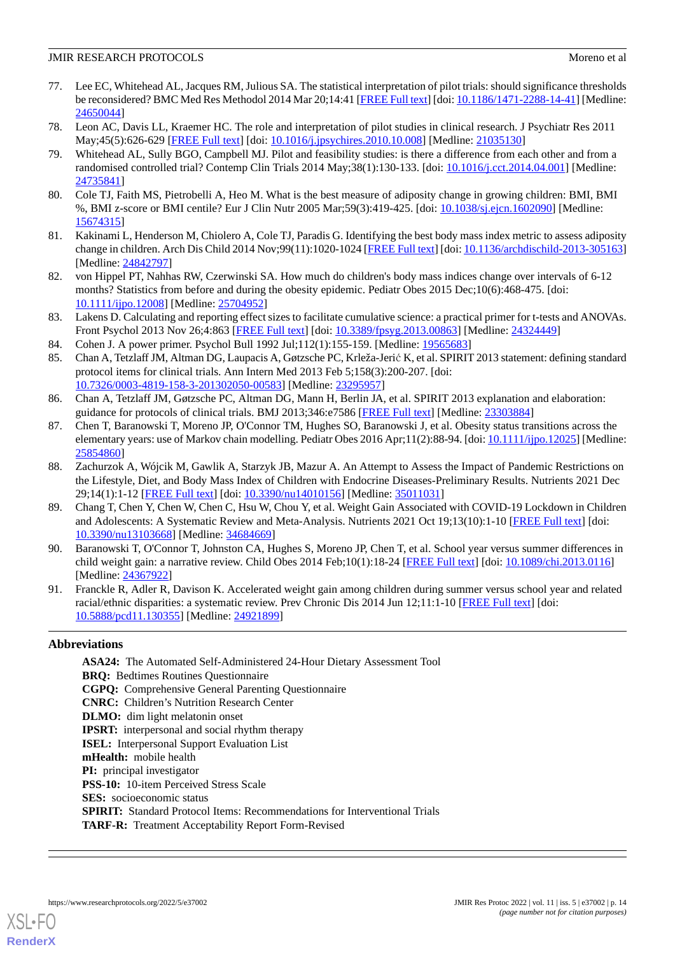- <span id="page-13-0"></span>77. Lee EC, Whitehead AL, Jacques RM, Julious SA. The statistical interpretation of pilot trials: should significance thresholds be reconsidered? BMC Med Res Methodol 2014 Mar 20;14:41 [[FREE Full text](https://bmcmedresmethodol.biomedcentral.com/articles/10.1186/1471-2288-14-41)] [doi: [10.1186/1471-2288-14-41](http://dx.doi.org/10.1186/1471-2288-14-41)] [Medline: [24650044](http://www.ncbi.nlm.nih.gov/entrez/query.fcgi?cmd=Retrieve&db=PubMed&list_uids=24650044&dopt=Abstract)]
- <span id="page-13-1"></span>78. Leon AC, Davis LL, Kraemer HC. The role and interpretation of pilot studies in clinical research. J Psychiatr Res 2011 May;45(5):626-629 [\[FREE Full text\]](http://europepmc.org/abstract/MED/21035130) [doi: [10.1016/j.jpsychires.2010.10.008](http://dx.doi.org/10.1016/j.jpsychires.2010.10.008)] [Medline: [21035130](http://www.ncbi.nlm.nih.gov/entrez/query.fcgi?cmd=Retrieve&db=PubMed&list_uids=21035130&dopt=Abstract)]
- 79. Whitehead AL, Sully BGO, Campbell MJ. Pilot and feasibility studies: is there a difference from each other and from a randomised controlled trial? Contemp Clin Trials 2014 May;38(1):130-133. [doi: [10.1016/j.cct.2014.04.001\]](http://dx.doi.org/10.1016/j.cct.2014.04.001) [Medline: [24735841](http://www.ncbi.nlm.nih.gov/entrez/query.fcgi?cmd=Retrieve&db=PubMed&list_uids=24735841&dopt=Abstract)]
- <span id="page-13-2"></span>80. Cole TJ, Faith MS, Pietrobelli A, Heo M. What is the best measure of adiposity change in growing children: BMI, BMI %, BMI z-score or BMI centile? Eur J Clin Nutr 2005 Mar;59(3):419-425. [doi: [10.1038/sj.ejcn.1602090](http://dx.doi.org/10.1038/sj.ejcn.1602090)] [Medline: [15674315](http://www.ncbi.nlm.nih.gov/entrez/query.fcgi?cmd=Retrieve&db=PubMed&list_uids=15674315&dopt=Abstract)]
- <span id="page-13-3"></span>81. Kakinami L, Henderson M, Chiolero A, Cole TJ, Paradis G. Identifying the best body mass index metric to assess adiposity change in children. Arch Dis Child 2014 Nov;99(11):1020-1024 [\[FREE Full text](http://adc.bmj.com/lookup/pmidlookup?view=long&pmid=24842797)] [doi: [10.1136/archdischild-2013-305163\]](http://dx.doi.org/10.1136/archdischild-2013-305163) [Medline: [24842797](http://www.ncbi.nlm.nih.gov/entrez/query.fcgi?cmd=Retrieve&db=PubMed&list_uids=24842797&dopt=Abstract)]
- <span id="page-13-4"></span>82. von Hippel PT, Nahhas RW, Czerwinski SA. How much do children's body mass indices change over intervals of 6-12 months? Statistics from before and during the obesity epidemic. Pediatr Obes 2015 Dec;10(6):468-475. [doi: [10.1111/ijpo.12008\]](http://dx.doi.org/10.1111/ijpo.12008) [Medline: [25704952\]](http://www.ncbi.nlm.nih.gov/entrez/query.fcgi?cmd=Retrieve&db=PubMed&list_uids=25704952&dopt=Abstract)
- <span id="page-13-6"></span><span id="page-13-5"></span>83. Lakens D. Calculating and reporting effect sizes to facilitate cumulative science: a practical primer for t-tests and ANOVAs. Front Psychol 2013 Nov 26;4:863 [\[FREE Full text\]](https://dx.doi.org/10.3389/fpsyg.2013.00863) [doi: [10.3389/fpsyg.2013.00863\]](http://dx.doi.org/10.3389/fpsyg.2013.00863) [Medline: [24324449](http://www.ncbi.nlm.nih.gov/entrez/query.fcgi?cmd=Retrieve&db=PubMed&list_uids=24324449&dopt=Abstract)]
- 84. Cohen J. A power primer. Psychol Bull 1992 Jul;112(1):155-159. [Medline: [19565683\]](http://www.ncbi.nlm.nih.gov/entrez/query.fcgi?cmd=Retrieve&db=PubMed&list_uids=19565683&dopt=Abstract)
- <span id="page-13-7"></span>85. Chan A, Tetzlaff JM, Altman DG, Laupacis A, Gøtzsche PC, Krleža-Jerić K, et al. SPIRIT 2013 statement: defining standard protocol items for clinical trials. Ann Intern Med 2013 Feb 5;158(3):200-207. [doi: [10.7326/0003-4819-158-3-201302050-00583](http://dx.doi.org/10.7326/0003-4819-158-3-201302050-00583)] [Medline: [23295957](http://www.ncbi.nlm.nih.gov/entrez/query.fcgi?cmd=Retrieve&db=PubMed&list_uids=23295957&dopt=Abstract)]
- <span id="page-13-8"></span>86. Chan A, Tetzlaff JM, Gøtzsche PC, Altman DG, Mann H, Berlin JA, et al. SPIRIT 2013 explanation and elaboration: guidance for protocols of clinical trials. BMJ 2013;346:e7586 [[FREE Full text\]](http://www.bmj.com/cgi/pmidlookup?view=long&pmid=23303884) [Medline: [23303884\]](http://www.ncbi.nlm.nih.gov/entrez/query.fcgi?cmd=Retrieve&db=PubMed&list_uids=23303884&dopt=Abstract)
- <span id="page-13-9"></span>87. Chen T, Baranowski T, Moreno JP, O'Connor TM, Hughes SO, Baranowski J, et al. Obesity status transitions across the elementary years: use of Markov chain modelling. Pediatr Obes 2016 Apr;11(2):88-94. [doi: [10.1111/ijpo.12025](http://dx.doi.org/10.1111/ijpo.12025)] [Medline: [25854860](http://www.ncbi.nlm.nih.gov/entrez/query.fcgi?cmd=Retrieve&db=PubMed&list_uids=25854860&dopt=Abstract)]
- <span id="page-13-10"></span>88. Zachurzok A, Wójcik M, Gawlik A, Starzyk JB, Mazur A. An Attempt to Assess the Impact of Pandemic Restrictions on the Lifestyle, Diet, and Body Mass Index of Children with Endocrine Diseases-Preliminary Results. Nutrients 2021 Dec 29;14(1):1-12 [[FREE Full text](https://www.mdpi.com/resolver?pii=nu14010156)] [doi: [10.3390/nu14010156\]](http://dx.doi.org/10.3390/nu14010156) [Medline: [35011031\]](http://www.ncbi.nlm.nih.gov/entrez/query.fcgi?cmd=Retrieve&db=PubMed&list_uids=35011031&dopt=Abstract)
- <span id="page-13-11"></span>89. Chang T, Chen Y, Chen W, Chen C, Hsu W, Chou Y, et al. Weight Gain Associated with COVID-19 Lockdown in Children and Adolescents: A Systematic Review and Meta-Analysis. Nutrients 2021 Oct 19;13(10):1-10 [[FREE Full text](https://www.mdpi.com/resolver?pii=nu13103668)] [doi: [10.3390/nu13103668\]](http://dx.doi.org/10.3390/nu13103668) [Medline: [34684669\]](http://www.ncbi.nlm.nih.gov/entrez/query.fcgi?cmd=Retrieve&db=PubMed&list_uids=34684669&dopt=Abstract)
- <span id="page-13-12"></span>90. Baranowski T, O'Connor T, Johnston CA, Hughes S, Moreno JP, Chen T, et al. School year versus summer differences in child weight gain: a narrative review. Child Obes 2014 Feb;10(1):18-24 [\[FREE Full text\]](http://europepmc.org/abstract/MED/24367922) [doi: [10.1089/chi.2013.0116\]](http://dx.doi.org/10.1089/chi.2013.0116) [Medline: [24367922](http://www.ncbi.nlm.nih.gov/entrez/query.fcgi?cmd=Retrieve&db=PubMed&list_uids=24367922&dopt=Abstract)]
- 91. Franckle R, Adler R, Davison K. Accelerated weight gain among children during summer versus school year and related racial/ethnic disparities: a systematic review. Prev Chronic Dis 2014 Jun 12;11:1-10 [[FREE Full text](https://www.cdc.gov/pcd/issues/2014/13_0355.htm)] [doi: [10.5888/pcd11.130355\]](http://dx.doi.org/10.5888/pcd11.130355) [Medline: [24921899](http://www.ncbi.nlm.nih.gov/entrez/query.fcgi?cmd=Retrieve&db=PubMed&list_uids=24921899&dopt=Abstract)]

# **Abbreviations**

**ASA24:** The Automated Self-Administered 24-Hour Dietary Assessment Tool **BRQ:** Bedtimes Routines Questionnaire **CGPQ:** Comprehensive General Parenting Questionnaire **CNRC:** Children's Nutrition Research Center **DLMO:** dim light melatonin onset **IPSRT:** interpersonal and social rhythm therapy **ISEL:** Interpersonal Support Evaluation List **mHealth:** mobile health **PI:** principal investigator **PSS-10:** 10-item Perceived Stress Scale **SES:** socioeconomic status **SPIRIT:** Standard Protocol Items: Recommendations for Interventional Trials **TARF-R:** Treatment Acceptability Report Form-Revised